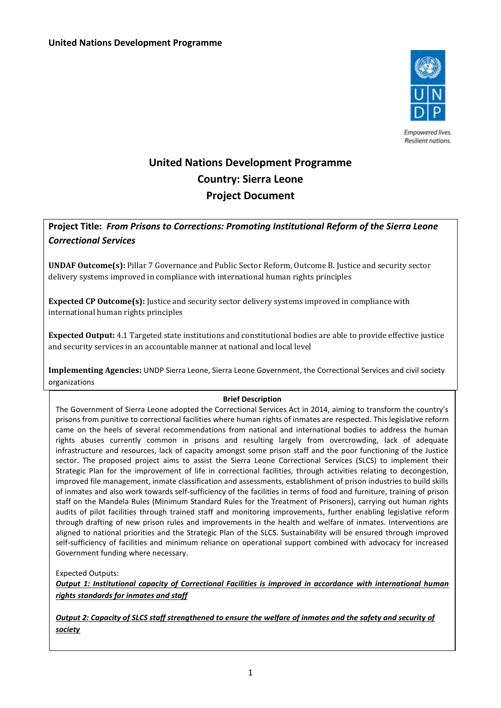

Empowered lives. Resilient nations.

# **United Nations Development Programme Country: Sierra Leone Project Document**

# **Project Title:** *From Prisons to Corrections: Promoting Institutional Reform of the Sierra Leone Correctional Services*

**UNDAF Outcome(s):** Pillar 7 Governance and Public Sector Reform, Outcome B. Justice and security sector delivery systems improved in compliance with international human rights principles

**Expected CP Outcome(s):** Justice and security sector delivery systems improved in compliance with international human rights principles

**Expected Output:** 4.1 Targeted state institutions and constitutional bodies are able to provide effective justice and security services in an accountable manner at national and local level

**Implementing Agencies:** UNDP Sierra Leone, Sierra Leone Government, the Correctional Services and civil society organizations

## **Brief Description**

The Government of Sierra Leone adopted the Correctional Services Act in 2014, aiming to transform the country's prisons from punitive to correctional facilities where human rights of inmates are respected. This legislative reform came on the heels of several recommendations from national and international bodies to address the human rights abuses currently common in prisons and resulting largely from overcrowding, lack of adequate infrastructure and resources, lack of capacity amongst some prison staff and the poor functioning of the Justice sector. The proposed project aims to assist the Sierra Leone Correctional Services (SLCS) to implement their Strategic Plan for the improvement of life in correctional facilities, through activities relating to decongestion, improved file management, inmate classification and assessments, establishment of prison industries to build skills of inmates and also work towards self-sufficiency of the facilities in terms of food and furniture, training of prison staff on the Mandela Rules (Minimum Standard Rules for the Treatment of Prisoners), carrying out human rights audits of pilot facilities through trained staff and monitoring improvements, further enabling legislative reform through drafting of new prison rules and improvements in the health and welfare of inmates. Interventions are aligned to national priorities and the Strategic Plan of the SLCS. Sustainability will be ensured through improved self-sufficiency of facilities and minimum reliance on operational support combined with advocacy for increased Government funding where necessary.

Expected Outputs:

*Output 1: Institutional capacity of Correctional Facilities is improved in accordance with international human rights standards for inmates and staff*

*Output 2: Capacity of SLCS staff strengthened to ensure the welfare of inmates and the safety and security of society*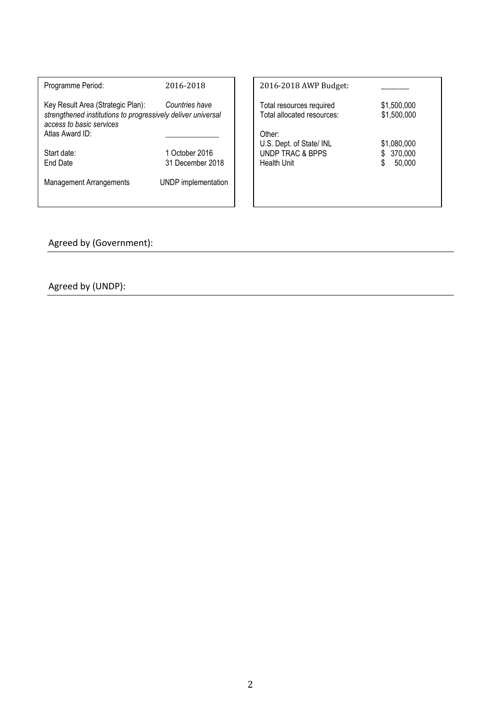| Programme Period:                                                                                                                                | 2016-2018                          | 2016-2018 AWP Budget:                                                  |                                        |
|--------------------------------------------------------------------------------------------------------------------------------------------------|------------------------------------|------------------------------------------------------------------------|----------------------------------------|
| Key Result Area (Strategic Plan):<br>strengthened institutions to progressively deliver universal<br>access to basic services<br>Atlas Award ID: | Countries have                     | Total resources required<br>Total allocated resources:<br>Other:       | \$1,500,000<br>\$1,500,000             |
| Start date:<br>End Date                                                                                                                          | 1 October 2016<br>31 December 2018 | U.S. Dept. of State/ INL<br><b>UNDP TRAC &amp; BPPS</b><br>Health Unit | \$1,080,000<br>370,000<br>\$<br>50,000 |
| <b>Management Arrangements</b>                                                                                                                   | UNDP implementation                |                                                                        |                                        |

Agreed by (Government):

Agreed by (UNDP):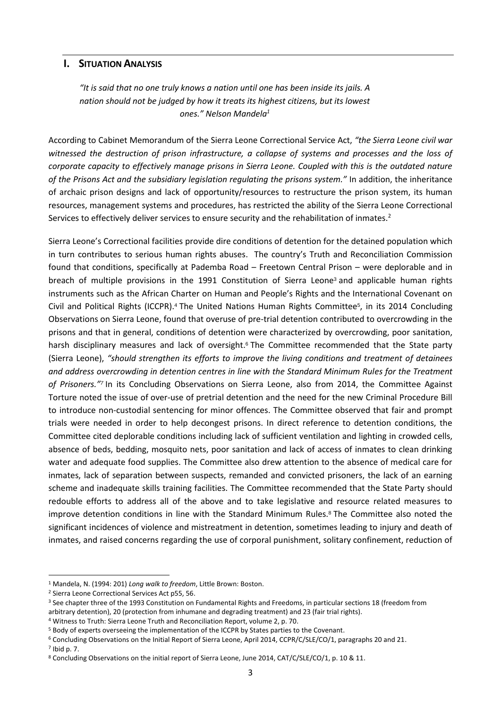## **I.** SITUATION **A**NALYSIS

*"It is said that no one truly knows a nation until one has been inside its jails. A nation should not be judged by how it treats its highest citizens, but its lowest ones." Nelson Mandela<sup>1</sup>*

According to Cabinet Memorandum of the Sierra Leone Correctional Service Act, *"the Sierra Leone civil war witnessed the destruction of prison infrastructure, a collapse of systems and processes and the loss of corporate capacity to effectively manage prisons in Sierra Leone. Coupled with this is the outdated nature of the Prisons Act and the subsidiary legislation regulating the prisons system."* In addition, the inheritance of archaic prison designs and lack of opportunity/resources to restructure the prison system, its human resources, management systems and procedures, has restricted the ability of the Sierra Leone Correctional Services to effectively deliver services to ensure security and the rehabilitation of inmates.<sup>2</sup>

Sierra Leone's Correctional facilities provide dire conditions of detention for the detained population which in turn contributes to serious human rights abuses. The country's Truth and Reconciliation Commission found that conditions, specifically at Pademba Road – Freetown Central Prison – were deplorable and in breach of multiple provisions in the 1991 Constitution of Sierra Leone<sup>3</sup> and applicable human rights instruments such as the African Charter on Human and People's Rights and the International Covenant on Civil and Political Rights (ICCPR).<sup>4</sup> The United Nations Human Rights Committee<sup>5</sup>, in its 2014 Concluding Observations on Sierra Leone, found that overuse of pre-trial detention contributed to overcrowding in the prisons and that in general, conditions of detention were characterized by overcrowding, poor sanitation, harsh disciplinary measures and lack of oversight.<sup>6</sup> The Committee recommended that the State party (Sierra Leone), *"should strengthen its efforts to improve the living conditions and treatment of detainees and address overcrowding in detention centres in line with the Standard Minimum Rules for the Treatment of Prisoners."<sup>7</sup>* In its Concluding Observations on Sierra Leone, also from 2014, the Committee Against Torture noted the issue of over-use of pretrial detention and the need for the new Criminal Procedure Bill to introduce non-custodial sentencing for minor offences. The Committee observed that fair and prompt trials were needed in order to help decongest prisons. In direct reference to detention conditions, the Committee cited deplorable conditions including lack of sufficient ventilation and lighting in crowded cells, absence of beds, bedding, mosquito nets, poor sanitation and lack of access of inmates to clean drinking water and adequate food supplies. The Committee also drew attention to the absence of medical care for inmates, lack of separation between suspects, remanded and convicted prisoners, the lack of an earning scheme and inadequate skills training facilities. The Committee recommended that the State Party should redouble efforts to address all of the above and to take legislative and resource related measures to improve detention conditions in line with the Standard Minimum Rules.<sup>8</sup> The Committee also noted the significant incidences of violence and mistreatment in detention, sometimes leading to injury and death of inmates, and raised concerns regarding the use of corporal punishment, solitary confinement, reduction of

<sup>1</sup> Mandela, N. (1994: 201) *Long walk to freedom*, Little Brown: Boston.

<sup>2</sup> Sierra Leone Correctional Services Act p55, 56.

<sup>&</sup>lt;sup>3</sup> See chapter three of the 1993 Constitution on Fundamental Rights and Freedoms, in particular sections 18 (freedom from arbitrary detention), 20 (protection from inhumane and degrading treatment) and 23 (fair trial rights).

<sup>4</sup> Witness to Truth: Sierra Leone Truth and Reconciliation Report, volume 2, p. 70.

<sup>5</sup> Body of experts overseeing the implementation of the ICCPR by States parties to the Covenant.

<sup>6</sup> Concluding Observations on the Initial Report of Sierra Leone, April 2014, CCPR/C/SLE/CO/1, paragraphs 20 and 21.

<sup>7</sup> Ibid p. 7.

<sup>&</sup>lt;sup>8</sup> Concluding Observations on the initial report of Sierra Leone, June 2014, CAT/C/SLE/CO/1, p. 10 & 11.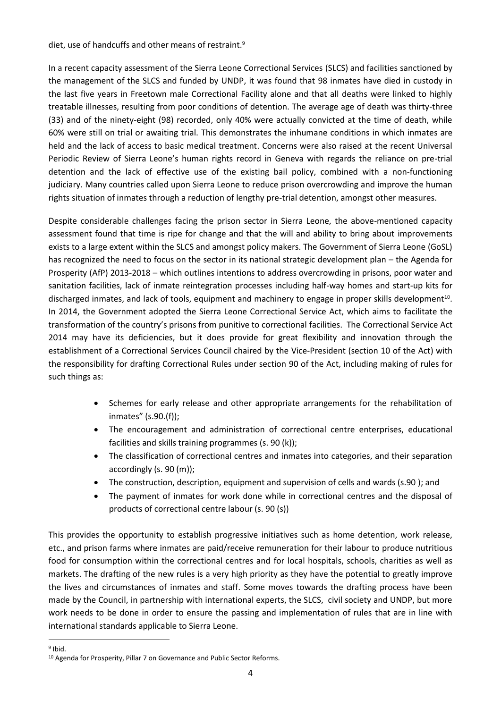diet, use of handcuffs and other means of restraint.<sup>9</sup>

In a recent capacity assessment of the Sierra Leone Correctional Services (SLCS) and facilities sanctioned by the management of the SLCS and funded by UNDP, it was found that 98 inmates have died in custody in the last five years in Freetown male Correctional Facility alone and that all deaths were linked to highly treatable illnesses, resulting from poor conditions of detention. The average age of death was thirty-three (33) and of the ninety-eight (98) recorded, only 40% were actually convicted at the time of death, while 60% were still on trial or awaiting trial. This demonstrates the inhumane conditions in which inmates are held and the lack of access to basic medical treatment. Concerns were also raised at the recent Universal Periodic Review of Sierra Leone's human rights record in Geneva with regards the reliance on pre-trial detention and the lack of effective use of the existing bail policy, combined with a non-functioning judiciary. Many countries called upon Sierra Leone to reduce prison overcrowding and improve the human rights situation of inmates through a reduction of lengthy pre-trial detention, amongst other measures.

Despite considerable challenges facing the prison sector in Sierra Leone, the above-mentioned capacity assessment found that time is ripe for change and that the will and ability to bring about improvements exists to a large extent within the SLCS and amongst policy makers. The Government of Sierra Leone (GoSL) has recognized the need to focus on the sector in its national strategic development plan – the Agenda for Prosperity (AfP) 2013-2018 – which outlines intentions to address overcrowding in prisons, poor water and sanitation facilities, lack of inmate reintegration processes including half-way homes and start-up kits for discharged inmates, and lack of tools, equipment and machinery to engage in proper skills development<sup>10</sup>. In 2014, the Government adopted the Sierra Leone Correctional Service Act, which aims to facilitate the transformation of the country's prisons from punitive to correctional facilities. The Correctional Service Act 2014 may have its deficiencies, but it does provide for great flexibility and innovation through the establishment of a Correctional Services Council chaired by the Vice-President (section 10 of the Act) with the responsibility for drafting Correctional Rules under section 90 of the Act, including making of rules for such things as:

- Schemes for early release and other appropriate arrangements for the rehabilitation of inmates" (s.90.(f));
- The encouragement and administration of correctional centre enterprises, educational facilities and skills training programmes (s. 90 (k));
- The classification of correctional centres and inmates into categories, and their separation accordingly (s. 90 (m));
- The construction, description, equipment and supervision of cells and wards (s.90 ); and
- The payment of inmates for work done while in correctional centres and the disposal of products of correctional centre labour (s. 90 (s))

This provides the opportunity to establish progressive initiatives such as home detention, work release, etc., and prison farms where inmates are paid/receive remuneration for their labour to produce nutritious food for consumption within the correctional centres and for local hospitals, schools, charities as well as markets. The drafting of the new rules is a very high priority as they have the potential to greatly improve the lives and circumstances of inmates and staff. Some moves towards the drafting process have been made by the Council, in partnership with international experts, the SLCS, civil society and UNDP, but more work needs to be done in order to ensure the passing and implementation of rules that are in line with international standards applicable to Sierra Leone.

 $\overline{a}$ <sup>9</sup> Ibid.

<sup>&</sup>lt;sup>10</sup> Agenda for Prosperity, Pillar 7 on Governance and Public Sector Reforms.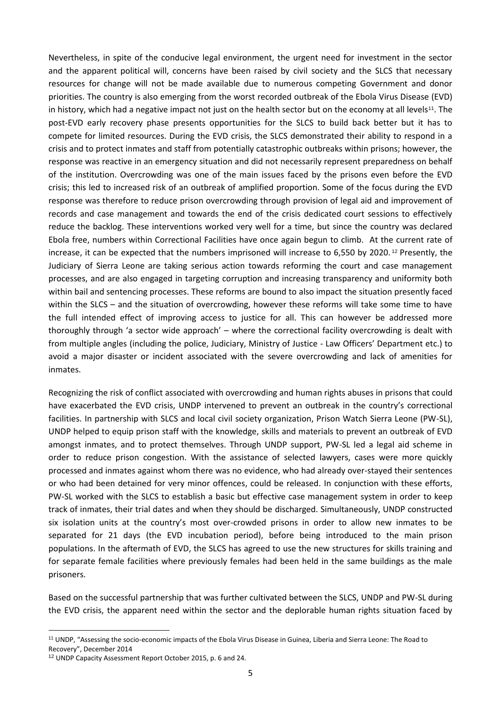Nevertheless, in spite of the conducive legal environment, the urgent need for investment in the sector and the apparent political will, concerns have been raised by civil society and the SLCS that necessary resources for change will not be made available due to numerous competing Government and donor priorities. The country is also emerging from the worst recorded outbreak of the Ebola Virus Disease (EVD) in history, which had a negative impact not just on the health sector but on the economy at all levels<sup>11</sup>. The post-EVD early recovery phase presents opportunities for the SLCS to build back better but it has to compete for limited resources. During the EVD crisis, the SLCS demonstrated their ability to respond in a crisis and to protect inmates and staff from potentially catastrophic outbreaks within prisons; however, the response was reactive in an emergency situation and did not necessarily represent preparedness on behalf of the institution. Overcrowding was one of the main issues faced by the prisons even before the EVD crisis; this led to increased risk of an outbreak of amplified proportion. Some of the focus during the EVD response was therefore to reduce prison overcrowding through provision of legal aid and improvement of records and case management and towards the end of the crisis dedicated court sessions to effectively reduce the backlog. These interventions worked very well for a time, but since the country was declared Ebola free, numbers within Correctional Facilities have once again begun to climb. At the current rate of increase, it can be expected that the numbers imprisoned will increase to 6,550 by 2020. <sup>12</sup> Presently, the Judiciary of Sierra Leone are taking serious action towards reforming the court and case management processes, and are also engaged in targeting corruption and increasing transparency and uniformity both within bail and sentencing processes. These reforms are bound to also impact the situation presently faced within the SLCS – and the situation of overcrowding, however these reforms will take some time to have the full intended effect of improving access to justice for all. This can however be addressed more thoroughly through 'a sector wide approach' – where the correctional facility overcrowding is dealt with from multiple angles (including the police, Judiciary, Ministry of Justice - Law Officers' Department etc.) to avoid a major disaster or incident associated with the severe overcrowding and lack of amenities for inmates.

Recognizing the risk of conflict associated with overcrowding and human rights abuses in prisons that could have exacerbated the EVD crisis, UNDP intervened to prevent an outbreak in the country's correctional facilities. In partnership with SLCS and local civil society organization, Prison Watch Sierra Leone (PW-SL), UNDP helped to equip prison staff with the knowledge, skills and materials to prevent an outbreak of EVD amongst inmates, and to protect themselves. Through UNDP support, PW-SL led a legal aid scheme in order to reduce prison congestion. With the assistance of selected lawyers, cases were more quickly processed and inmates against whom there was no evidence, who had already over-stayed their sentences or who had been detained for very minor offences, could be released. In conjunction with these efforts, PW-SL worked with the SLCS to establish a basic but effective case management system in order to keep track of inmates, their trial dates and when they should be discharged. Simultaneously, UNDP constructed six isolation units at the country's most over-crowded prisons in order to allow new inmates to be separated for 21 days (the EVD incubation period), before being introduced to the main prison populations. In the aftermath of EVD, the SLCS has agreed to use the new structures for skills training and for separate female facilities where previously females had been held in the same buildings as the male prisoners.

Based on the successful partnership that was further cultivated between the SLCS, UNDP and PW-SL during the EVD crisis, the apparent need within the sector and the deplorable human rights situation faced by

<sup>11</sup> UNDP, "Assessing the socio-economic impacts of the Ebola Virus Disease in Guinea, Liberia and Sierra Leone: The Road to Recovery", December 2014

<sup>12</sup> UNDP Capacity Assessment Report October 2015, p. 6 and 24.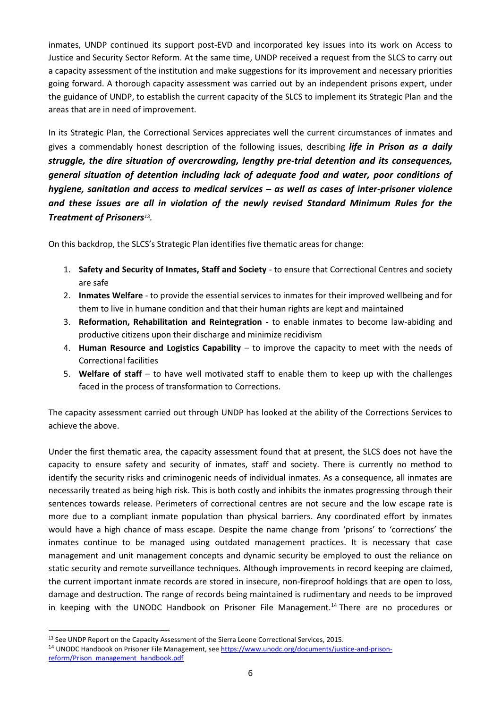inmates, UNDP continued its support post-EVD and incorporated key issues into its work on Access to Justice and Security Sector Reform. At the same time, UNDP received a request from the SLCS to carry out a capacity assessment of the institution and make suggestions for its improvement and necessary priorities going forward. A thorough capacity assessment was carried out by an independent prisons expert, under the guidance of UNDP, to establish the current capacity of the SLCS to implement its Strategic Plan and the areas that are in need of improvement.

In its Strategic Plan, the Correctional Services appreciates well the current circumstances of inmates and gives a commendably honest description of the following issues, describing *life in Prison as a daily struggle, the dire situation of overcrowding, lengthy pre-trial detention and its consequences, general situation of detention including lack of adequate food and water, poor conditions of hygiene, sanitation and access to medical services – as well as cases of inter-prisoner violence and these issues are all in violation of the newly revised Standard Minimum Rules for the Treatment of Prisoners<sup>13</sup> .* 

On this backdrop, the SLCS's Strategic Plan identifies five thematic areas for change:

- 1. **Safety and Security of Inmates, Staff and Society**  to ensure that Correctional Centres and society are safe
- 2. **Inmates Welfare**  to provide the essential services to inmates for their improved wellbeing and for them to live in humane condition and that their human rights are kept and maintained
- 3. **Reformation, Rehabilitation and Reintegration -** to enable inmates to become law-abiding and productive citizens upon their discharge and minimize recidivism
- 4. **Human Resource and Logistics Capability**  to improve the capacity to meet with the needs of Correctional facilities
- 5. **Welfare of staff** to have well motivated staff to enable them to keep up with the challenges faced in the process of transformation to Corrections.

The capacity assessment carried out through UNDP has looked at the ability of the Corrections Services to achieve the above.

Under the first thematic area, the capacity assessment found that at present, the SLCS does not have the capacity to ensure safety and security of inmates, staff and society. There is currently no method to identify the security risks and criminogenic needs of individual inmates. As a consequence, all inmates are necessarily treated as being high risk. This is both costly and inhibits the inmates progressing through their sentences towards release. Perimeters of correctional centres are not secure and the low escape rate is more due to a compliant inmate population than physical barriers. Any coordinated effort by inmates would have a high chance of mass escape. Despite the name change from 'prisons' to 'corrections' the inmates continue to be managed using outdated management practices. It is necessary that case management and unit management concepts and dynamic security be employed to oust the reliance on static security and remote surveillance techniques. Although improvements in record keeping are claimed, the current important inmate records are stored in insecure, non-fireproof holdings that are open to loss, damage and destruction. The range of records being maintained is rudimentary and needs to be improved in keeping with the UNODC Handbook on Prisoner File Management.<sup>14</sup> There are no procedures or

<sup>&</sup>lt;sup>13</sup> See UNDP Report on the Capacity Assessment of the Sierra Leone Correctional Services, 2015.

<sup>&</sup>lt;sup>14</sup> UNODC Handbook on Prisoner File Management, se[e https://www.unodc.org/documents/justice-and-prison](https://www.unodc.org/documents/justice-and-prison-reform/Prison_management_handbook.pdf)[reform/Prison\\_management\\_handbook.pdf](https://www.unodc.org/documents/justice-and-prison-reform/Prison_management_handbook.pdf)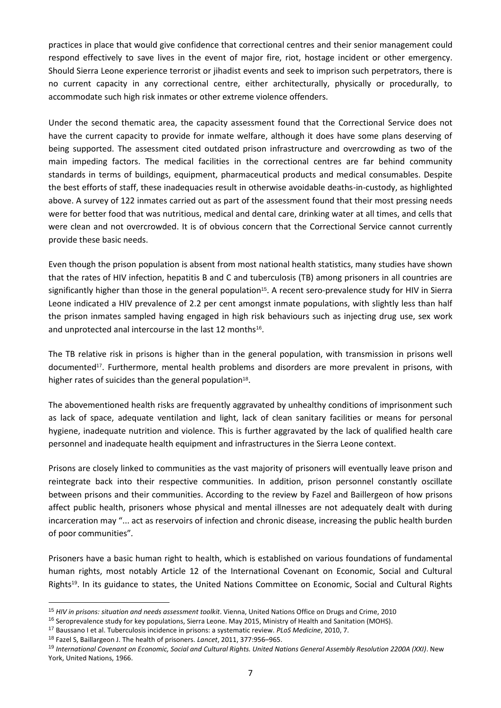practices in place that would give confidence that correctional centres and their senior management could respond effectively to save lives in the event of major fire, riot, hostage incident or other emergency. Should Sierra Leone experience terrorist or jihadist events and seek to imprison such perpetrators, there is no current capacity in any correctional centre, either architecturally, physically or procedurally, to accommodate such high risk inmates or other extreme violence offenders.

Under the second thematic area, the capacity assessment found that the Correctional Service does not have the current capacity to provide for inmate welfare, although it does have some plans deserving of being supported. The assessment cited outdated prison infrastructure and overcrowding as two of the main impeding factors. The medical facilities in the correctional centres are far behind community standards in terms of buildings, equipment, pharmaceutical products and medical consumables. Despite the best efforts of staff, these inadequacies result in otherwise avoidable deaths-in-custody, as highlighted above. A survey of 122 inmates carried out as part of the assessment found that their most pressing needs were for better food that was nutritious, medical and dental care, drinking water at all times, and cells that were clean and not overcrowded. It is of obvious concern that the Correctional Service cannot currently provide these basic needs.

Even though the prison population is absent from most national health statistics, many studies have shown that the rates of HIV infection, hepatitis B and C and tuberculosis (TB) among prisoners in all countries are significantly higher than those in the general population<sup>15</sup>. A recent sero-prevalence study for HIV in Sierra Leone indicated a HIV prevalence of 2.2 per cent amongst inmate populations, with slightly less than half the prison inmates sampled having engaged in high risk behaviours such as injecting drug use, sex work and unprotected anal intercourse in the last 12 months<sup>16</sup>.

The TB relative risk in prisons is higher than in the general population, with transmission in prisons well documented<sup>17</sup>. Furthermore, mental health problems and disorders are more prevalent in prisons, with higher rates of suicides than the general population<sup>18</sup>.

The abovementioned health risks are frequently aggravated by unhealthy conditions of imprisonment such as lack of space, adequate ventilation and light, lack of clean sanitary facilities or means for personal hygiene, inadequate nutrition and violence. This is further aggravated by the lack of qualified health care personnel and inadequate health equipment and infrastructures in the Sierra Leone context.

Prisons are closely linked to communities as the vast majority of prisoners will eventually leave prison and reintegrate back into their respective communities. In addition, prison personnel constantly oscillate between prisons and their communities. According to the review by Fazel and Baillergeon of how prisons affect public health, prisoners whose physical and mental illnesses are not adequately dealt with during incarceration may "... act as reservoirs of infection and chronic disease, increasing the public health burden of poor communities"*.* 

Prisoners have a basic human right to health, which is established on various foundations of fundamental human rights, most notably Article 12 of the International Covenant on Economic, Social and Cultural Rights19. In its guidance to states, the United Nations Committee on Economic, Social and Cultural Rights

<sup>15</sup> *HIV in prisons: situation and needs assessment toolkit*. Vienna, United Nations Office on Drugs and Crime, 2010

<sup>&</sup>lt;sup>16</sup> Seroprevalence study for key populations, Sierra Leone. May 2015, Ministry of Health and Sanitation (MOHS).

<sup>17</sup> Baussano I et al. Tuberculosis incidence in prisons: a systematic review. *PLoS Medicine*, 2010, 7.

<sup>18</sup> Fazel S, Baillargeon J. The health of prisoners. *Lancet*, 2011, 377:956–965.

<sup>19</sup> *International Covenant on Economic, Social and Cultural Rights. United Nations General Assembly Resolution 2200A (XXI)*. New York, United Nations, 1966.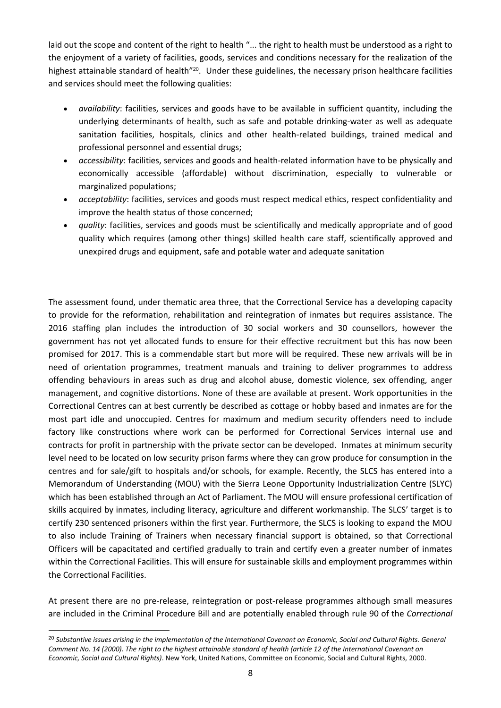laid out the scope and content of the right to health "... the right to health must be understood as a right to the enjoyment of a variety of facilities, goods, services and conditions necessary for the realization of the highest attainable standard of health"<sup>20</sup>. Under these guidelines, the necessary prison healthcare facilities and services should meet the following qualities:

- *availability*: facilities, services and goods have to be available in sufficient quantity, including the underlying determinants of health, such as safe and potable drinking-water as well as adequate sanitation facilities, hospitals, clinics and other health-related buildings, trained medical and professional personnel and essential drugs;
- *accessibility*: facilities, services and goods and health-related information have to be physically and economically accessible (affordable) without discrimination, especially to vulnerable or marginalized populations;
- *acceptability*: facilities, services and goods must respect medical ethics, respect confidentiality and improve the health status of those concerned;
- *quality*: facilities, services and goods must be scientifically and medically appropriate and of good quality which requires (among other things) skilled health care staff, scientifically approved and unexpired drugs and equipment, safe and potable water and adequate sanitation

The assessment found, under thematic area three, that the Correctional Service has a developing capacity to provide for the reformation, rehabilitation and reintegration of inmates but requires assistance. The 2016 staffing plan includes the introduction of 30 social workers and 30 counsellors, however the government has not yet allocated funds to ensure for their effective recruitment but this has now been promised for 2017. This is a commendable start but more will be required. These new arrivals will be in need of orientation programmes, treatment manuals and training to deliver programmes to address offending behaviours in areas such as drug and alcohol abuse, domestic violence, sex offending, anger management, and cognitive distortions. None of these are available at present. Work opportunities in the Correctional Centres can at best currently be described as cottage or hobby based and inmates are for the most part idle and unoccupied. Centres for maximum and medium security offenders need to include factory like constructions where work can be performed for Correctional Services internal use and contracts for profit in partnership with the private sector can be developed. Inmates at minimum security level need to be located on low security prison farms where they can grow produce for consumption in the centres and for sale/gift to hospitals and/or schools, for example. Recently, the SLCS has entered into a Memorandum of Understanding (MOU) with the Sierra Leone Opportunity Industrialization Centre (SLYC) which has been established through an Act of Parliament. The MOU will ensure professional certification of skills acquired by inmates, including literacy, agriculture and different workmanship. The SLCS' target is to certify 230 sentenced prisoners within the first year. Furthermore, the SLCS is looking to expand the MOU to also include Training of Trainers when necessary financial support is obtained, so that Correctional Officers will be capacitated and certified gradually to train and certify even a greater number of inmates within the Correctional Facilities. This will ensure for sustainable skills and employment programmes within the Correctional Facilities.

At present there are no pre-release, reintegration or post-release programmes although small measures are included in the Criminal Procedure Bill and are potentially enabled through rule 90 of the *Correctional* 

<sup>20</sup> *Substantive issues arising in the implementation of the International Covenant on Economic, Social and Cultural Rights. General Comment No. 14 (2000). The right to the highest attainable standard of health (article 12 of the International Covenant on Economic, Social and Cultural Rights)*. New York, United Nations, Committee on Economic, Social and Cultural Rights, 2000.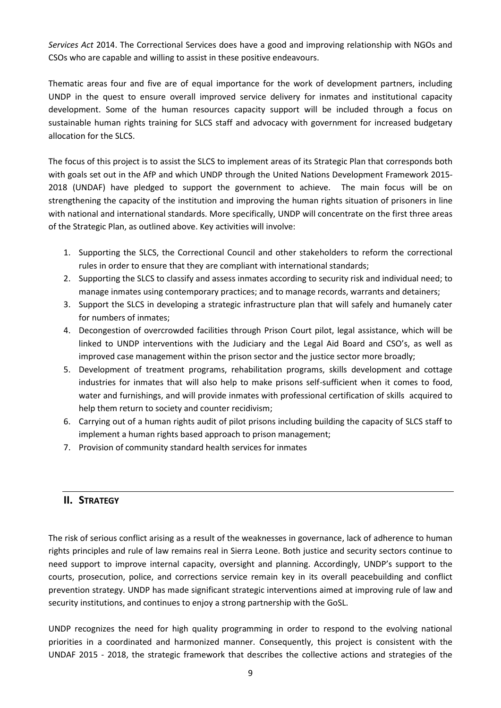*Services Act* 2014. The Correctional Services does have a good and improving relationship with NGOs and CSOs who are capable and willing to assist in these positive endeavours.

Thematic areas four and five are of equal importance for the work of development partners, including UNDP in the quest to ensure overall improved service delivery for inmates and institutional capacity development. Some of the human resources capacity support will be included through a focus on sustainable human rights training for SLCS staff and advocacy with government for increased budgetary allocation for the SLCS.

The focus of this project is to assist the SLCS to implement areas of its Strategic Plan that corresponds both with goals set out in the AfP and which UNDP through the United Nations Development Framework 2015- 2018 (UNDAF) have pledged to support the government to achieve. The main focus will be on strengthening the capacity of the institution and improving the human rights situation of prisoners in line with national and international standards. More specifically, UNDP will concentrate on the first three areas of the Strategic Plan, as outlined above. Key activities will involve:

- 1. Supporting the SLCS, the Correctional Council and other stakeholders to reform the correctional rules in order to ensure that they are compliant with international standards;
- 2. Supporting the SLCS to classify and assess inmates according to security risk and individual need; to manage inmates using contemporary practices; and to manage records, warrants and detainers;
- 3. Support the SLCS in developing a strategic infrastructure plan that will safely and humanely cater for numbers of inmates;
- 4. Decongestion of overcrowded facilities through Prison Court pilot, legal assistance, which will be linked to UNDP interventions with the Judiciary and the Legal Aid Board and CSO's, as well as improved case management within the prison sector and the justice sector more broadly;
- 5. Development of treatment programs, rehabilitation programs, skills development and cottage industries for inmates that will also help to make prisons self-sufficient when it comes to food, water and furnishings, and will provide inmates with professional certification of skills acquired to help them return to society and counter recidivism;
- 6. Carrying out of a human rights audit of pilot prisons including building the capacity of SLCS staff to implement a human rights based approach to prison management;
- 7. Provision of community standard health services for inmates

# **II. STRATEGY**

The risk of serious conflict arising as a result of the weaknesses in governance, lack of adherence to human rights principles and rule of law remains real in Sierra Leone. Both justice and security sectors continue to need support to improve internal capacity, oversight and planning. Accordingly, UNDP's support to the courts, prosecution, police, and corrections service remain key in its overall peacebuilding and conflict prevention strategy. UNDP has made significant strategic interventions aimed at improving rule of law and security institutions, and continues to enjoy a strong partnership with the GoSL.

UNDP recognizes the need for high quality programming in order to respond to the evolving national priorities in a coordinated and harmonized manner. Consequently, this project is consistent with the UNDAF 2015 - 2018, the strategic framework that describes the collective actions and strategies of the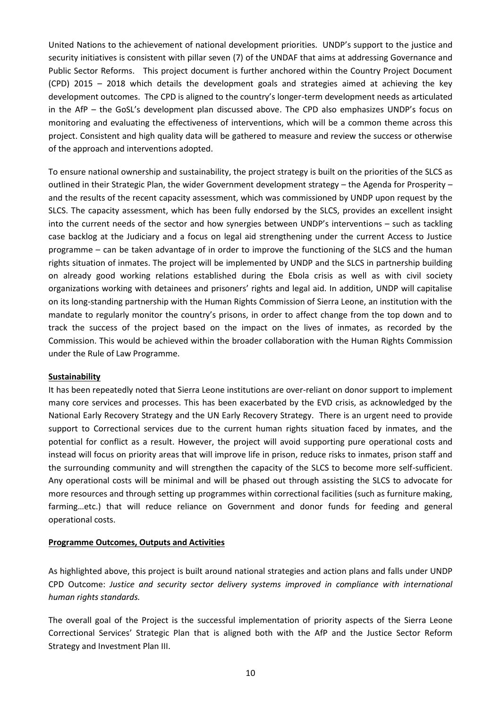United Nations to the achievement of national development priorities. UNDP's support to the justice and security initiatives is consistent with pillar seven (7) of the UNDAF that aims at addressing Governance and Public Sector Reforms. This project document is further anchored within the Country Project Document (CPD) 2015 – 2018 which details the development goals and strategies aimed at achieving the key development outcomes. The CPD is aligned to the country's longer-term development needs as articulated in the AfP – the GoSL's development plan discussed above. The CPD also emphasizes UNDP's focus on monitoring and evaluating the effectiveness of interventions, which will be a common theme across this project. Consistent and high quality data will be gathered to measure and review the success or otherwise of the approach and interventions adopted.

To ensure national ownership and sustainability, the project strategy is built on the priorities of the SLCS as outlined in their Strategic Plan, the wider Government development strategy – the Agenda for Prosperity – and the results of the recent capacity assessment, which was commissioned by UNDP upon request by the SLCS. The capacity assessment, which has been fully endorsed by the SLCS, provides an excellent insight into the current needs of the sector and how synergies between UNDP's interventions – such as tackling case backlog at the Judiciary and a focus on legal aid strengthening under the current Access to Justice programme – can be taken advantage of in order to improve the functioning of the SLCS and the human rights situation of inmates. The project will be implemented by UNDP and the SLCS in partnership building on already good working relations established during the Ebola crisis as well as with civil society organizations working with detainees and prisoners' rights and legal aid. In addition, UNDP will capitalise on its long-standing partnership with the Human Rights Commission of Sierra Leone, an institution with the mandate to regularly monitor the country's prisons, in order to affect change from the top down and to track the success of the project based on the impact on the lives of inmates, as recorded by the Commission. This would be achieved within the broader collaboration with the Human Rights Commission under the Rule of Law Programme.

## **Sustainability**

It has been repeatedly noted that Sierra Leone institutions are over-reliant on donor support to implement many core services and processes. This has been exacerbated by the EVD crisis, as acknowledged by the National Early Recovery Strategy and the UN Early Recovery Strategy. There is an urgent need to provide support to Correctional services due to the current human rights situation faced by inmates, and the potential for conflict as a result. However, the project will avoid supporting pure operational costs and instead will focus on priority areas that will improve life in prison, reduce risks to inmates, prison staff and the surrounding community and will strengthen the capacity of the SLCS to become more self-sufficient. Any operational costs will be minimal and will be phased out through assisting the SLCS to advocate for more resources and through setting up programmes within correctional facilities (such as furniture making, farming…etc.) that will reduce reliance on Government and donor funds for feeding and general operational costs.

## **Programme Outcomes, Outputs and Activities**

As highlighted above, this project is built around national strategies and action plans and falls under UNDP CPD Outcome: *Justice and security sector delivery systems improved in compliance with international human rights standards.* 

The overall goal of the Project is the successful implementation of priority aspects of the Sierra Leone Correctional Services' Strategic Plan that is aligned both with the AfP and the Justice Sector Reform Strategy and Investment Plan III.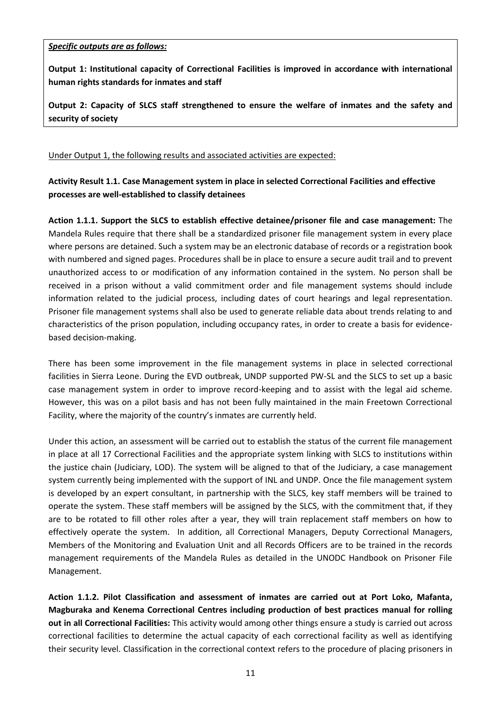*Specific outputs are as follows:*

**Output 1: Institutional capacity of Correctional Facilities is improved in accordance with international human rights standards for inmates and staff**

**Output 2: Capacity of SLCS staff strengthened to ensure the welfare of inmates and the safety and security of society**

## Under Output 1, the following results and associated activities are expected:

# **Activity Result 1.1. Case Management system in place in selected Correctional Facilities and effective processes are well-established to classify detainees**

**Action 1.1.1. Support the SLCS to establish effective detainee/prisoner file and case management:** The Mandela Rules require that there shall be a standardized prisoner file management system in every place where persons are detained. Such a system may be an electronic database of records or a registration book with numbered and signed pages. Procedures shall be in place to ensure a secure audit trail and to prevent unauthorized access to or modification of any information contained in the system. No person shall be received in a prison without a valid commitment order and file management systems should include information related to the judicial process, including dates of court hearings and legal representation. Prisoner file management systems shall also be used to generate reliable data about trends relating to and characteristics of the prison population, including occupancy rates, in order to create a basis for evidencebased decision-making.

There has been some improvement in the file management systems in place in selected correctional facilities in Sierra Leone. During the EVD outbreak, UNDP supported PW-SL and the SLCS to set up a basic case management system in order to improve record-keeping and to assist with the legal aid scheme. However, this was on a pilot basis and has not been fully maintained in the main Freetown Correctional Facility, where the majority of the country's inmates are currently held.

Under this action, an assessment will be carried out to establish the status of the current file management in place at all 17 Correctional Facilities and the appropriate system linking with SLCS to institutions within the justice chain (Judiciary, LOD). The system will be aligned to that of the Judiciary, a case management system currently being implemented with the support of INL and UNDP. Once the file management system is developed by an expert consultant, in partnership with the SLCS, key staff members will be trained to operate the system. These staff members will be assigned by the SLCS, with the commitment that, if they are to be rotated to fill other roles after a year, they will train replacement staff members on how to effectively operate the system. In addition, all Correctional Managers, Deputy Correctional Managers, Members of the Monitoring and Evaluation Unit and all Records Officers are to be trained in the records management requirements of the Mandela Rules as detailed in the UNODC Handbook on Prisoner File Management.

**Action 1.1.2. Pilot Classification and assessment of inmates are carried out at Port Loko, Mafanta, Magburaka and Kenema Correctional Centres including production of best practices manual for rolling out in all Correctional Facilities:** This activity would among other things ensure a study is carried out across correctional facilities to determine the actual capacity of each correctional facility as well as identifying their security level. Classification in the correctional context refers to the procedure of placing prisoners in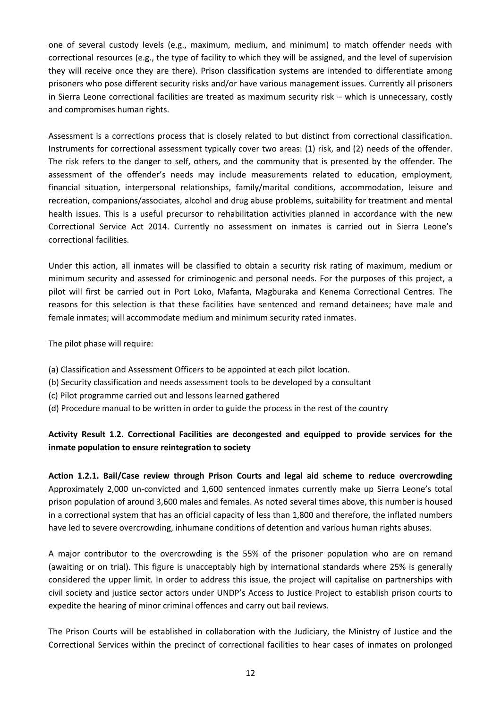one of several custody levels (e.g., maximum, medium, and minimum) to match offender needs with correctional resources (e.g., the type of facility to which they will be assigned, and the level of supervision they will receive once they are there). Prison classification systems are intended to differentiate among prisoners who pose different security risks and/or have various management issues. Currently all prisoners in Sierra Leone correctional facilities are treated as maximum security risk – which is unnecessary, costly and compromises human rights.

Assessment is a corrections process that is closely related to but distinct from correctional classification. Instruments for correctional assessment typically cover two areas: (1) risk, and (2) needs of the offender. The risk refers to the danger to self, others, and the community that is presented by the offender. The assessment of the offender's needs may include measurements related to education, employment, financial situation, interpersonal relationships, family/marital conditions, accommodation, leisure and recreation, companions/associates, alcohol and drug abuse problems, suitability for treatment and mental health issues. This is a useful precursor to rehabilitation activities planned in accordance with the new Correctional Service Act 2014. Currently no assessment on inmates is carried out in Sierra Leone's correctional facilities.

Under this action, all inmates will be classified to obtain a security risk rating of maximum, medium or minimum security and assessed for criminogenic and personal needs. For the purposes of this project, a pilot will first be carried out in Port Loko, Mafanta, Magburaka and Kenema Correctional Centres. The reasons for this selection is that these facilities have sentenced and remand detainees; have male and female inmates; will accommodate medium and minimum security rated inmates.

The pilot phase will require:

- (a) Classification and Assessment Officers to be appointed at each pilot location.
- (b) Security classification and needs assessment tools to be developed by a consultant
- (c) Pilot programme carried out and lessons learned gathered
- (d) Procedure manual to be written in order to guide the process in the rest of the country

# **Activity Result 1.2. Correctional Facilities are decongested and equipped to provide services for the inmate population to ensure reintegration to society**

**Action 1.2.1. Bail/Case review through Prison Courts and legal aid scheme to reduce overcrowding** Approximately 2,000 un-convicted and 1,600 sentenced inmates currently make up Sierra Leone's total prison population of around 3,600 males and females. As noted several times above, this number is housed in a correctional system that has an official capacity of less than 1,800 and therefore, the inflated numbers have led to severe overcrowding, inhumane conditions of detention and various human rights abuses.

A major contributor to the overcrowding is the 55% of the prisoner population who are on remand (awaiting or on trial). This figure is unacceptably high by international standards where 25% is generally considered the upper limit. In order to address this issue, the project will capitalise on partnerships with civil society and justice sector actors under UNDP's Access to Justice Project to establish prison courts to expedite the hearing of minor criminal offences and carry out bail reviews.

The Prison Courts will be established in collaboration with the Judiciary, the Ministry of Justice and the Correctional Services within the precinct of correctional facilities to hear cases of inmates on prolonged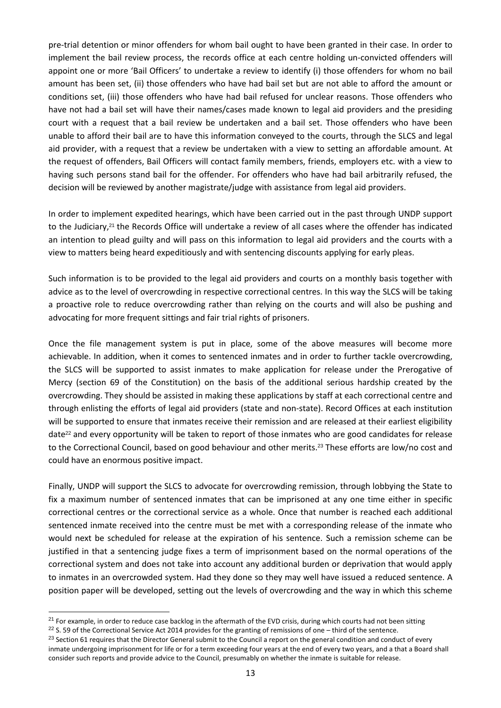pre-trial detention or minor offenders for whom bail ought to have been granted in their case. In order to implement the bail review process, the records office at each centre holding un-convicted offenders will appoint one or more 'Bail Officers' to undertake a review to identify (i) those offenders for whom no bail amount has been set, (ii) those offenders who have had bail set but are not able to afford the amount or conditions set, (iii) those offenders who have had bail refused for unclear reasons. Those offenders who have not had a bail set will have their names/cases made known to legal aid providers and the presiding court with a request that a bail review be undertaken and a bail set. Those offenders who have been unable to afford their bail are to have this information conveyed to the courts, through the SLCS and legal aid provider, with a request that a review be undertaken with a view to setting an affordable amount. At the request of offenders, Bail Officers will contact family members, friends, employers etc. with a view to having such persons stand bail for the offender. For offenders who have had bail arbitrarily refused, the decision will be reviewed by another magistrate/judge with assistance from legal aid providers.

In order to implement expedited hearings, which have been carried out in the past through UNDP support to the Judiciary,<sup>21</sup> the Records Office will undertake a review of all cases where the offender has indicated an intention to plead guilty and will pass on this information to legal aid providers and the courts with a view to matters being heard expeditiously and with sentencing discounts applying for early pleas.

Such information is to be provided to the legal aid providers and courts on a monthly basis together with advice as to the level of overcrowding in respective correctional centres. In this way the SLCS will be taking a proactive role to reduce overcrowding rather than relying on the courts and will also be pushing and advocating for more frequent sittings and fair trial rights of prisoners.

Once the file management system is put in place, some of the above measures will become more achievable. In addition, when it comes to sentenced inmates and in order to further tackle overcrowding, the SLCS will be supported to assist inmates to make application for release under the Prerogative of Mercy (section 69 of the Constitution) on the basis of the additional serious hardship created by the overcrowding. They should be assisted in making these applications by staff at each correctional centre and through enlisting the efforts of legal aid providers (state and non-state). Record Offices at each institution will be supported to ensure that inmates receive their remission and are released at their earliest eligibility date<sup>22</sup> and every opportunity will be taken to report of those inmates who are good candidates for release to the Correctional Council, based on good behaviour and other merits.<sup>23</sup> These efforts are low/no cost and could have an enormous positive impact.

Finally, UNDP will support the SLCS to advocate for overcrowding remission, through lobbying the State to fix a maximum number of sentenced inmates that can be imprisoned at any one time either in specific correctional centres or the correctional service as a whole. Once that number is reached each additional sentenced inmate received into the centre must be met with a corresponding release of the inmate who would next be scheduled for release at the expiration of his sentence. Such a remission scheme can be justified in that a sentencing judge fixes a term of imprisonment based on the normal operations of the correctional system and does not take into account any additional burden or deprivation that would apply to inmates in an overcrowded system. Had they done so they may well have issued a reduced sentence. A position paper will be developed, setting out the levels of overcrowding and the way in which this scheme

 $21$  For example, in order to reduce case backlog in the aftermath of the EVD crisis, during which courts had not been sitting

 $22$  S. 59 of the Correctional Service Act 2014 provides for the granting of remissions of one – third of the sentence.

<sup>&</sup>lt;sup>23</sup> Section 61 requires that the Director General submit to the Council a report on the general condition and conduct of every inmate undergoing imprisonment for life or for a term exceeding four years at the end of every two years, and a that a Board shall consider such reports and provide advice to the Council, presumably on whether the inmate is suitable for release.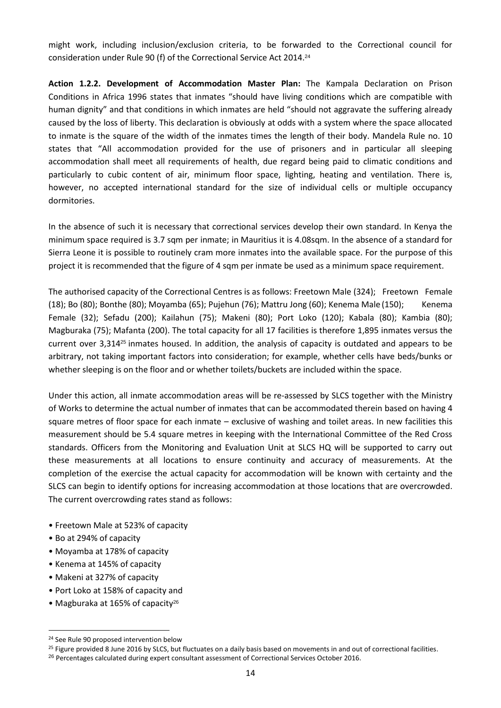might work, including inclusion/exclusion criteria, to be forwarded to the Correctional council for consideration under Rule 90 (f) of the Correctional Service Act 2014.<sup>24</sup>

**Action 1.2.2. Development of Accommodation Master Plan:** The Kampala Declaration on Prison Conditions in Africa 1996 states that inmates "should have living conditions which are compatible with human dignity" and that conditions in which inmates are held "should not aggravate the suffering already caused by the loss of liberty. This declaration is obviously at odds with a system where the space allocated to inmate is the square of the width of the inmates times the length of their body. Mandela Rule no. 10 states that "All accommodation provided for the use of prisoners and in particular all sleeping accommodation shall meet all requirements of health, due regard being paid to climatic conditions and particularly to cubic content of air, minimum floor space, lighting, heating and ventilation. There is, however, no accepted international standard for the size of individual cells or multiple occupancy dormitories.

In the absence of such it is necessary that correctional services develop their own standard. In Kenya the minimum space required is 3.7 sqm per inmate; in Mauritius it is 4.08sqm. In the absence of a standard for Sierra Leone it is possible to routinely cram more inmates into the available space. For the purpose of this project it is recommended that the figure of 4 sqm per inmate be used as a minimum space requirement.

The authorised capacity of the Correctional Centres is as follows: Freetown Male (324); Freetown Female (18); Bo (80); Bonthe (80); Moyamba (65); Pujehun (76); Mattru Jong (60); Kenema Male (150); Kenema Female (32); Sefadu (200); Kailahun (75); Makeni (80); Port Loko (120); Kabala (80); Kambia (80); Magburaka (75); Mafanta (200). The total capacity for all 17 facilities is therefore 1,895 inmates versus the current over 3,314<sup>25</sup> inmates housed. In addition, the analysis of capacity is outdated and appears to be arbitrary, not taking important factors into consideration; for example, whether cells have beds/bunks or whether sleeping is on the floor and or whether toilets/buckets are included within the space.

Under this action, all inmate accommodation areas will be re-assessed by SLCS together with the Ministry of Works to determine the actual number of inmates that can be accommodated therein based on having 4 square metres of floor space for each inmate – exclusive of washing and toilet areas. In new facilities this measurement should be 5.4 square metres in keeping with the International Committee of the Red Cross standards. Officers from the Monitoring and Evaluation Unit at SLCS HQ will be supported to carry out these measurements at all locations to ensure continuity and accuracy of measurements. At the completion of the exercise the actual capacity for accommodation will be known with certainty and the SLCS can begin to identify options for increasing accommodation at those locations that are overcrowded. The current overcrowding rates stand as follows:

- Freetown Male at 523% of capacity
- Bo at 294% of capacity

- Moyamba at 178% of capacity
- Kenema at 145% of capacity
- Makeni at 327% of capacity
- Port Loko at 158% of capacity and
- Magburaka at 165% of capacity<sup>26</sup>

<sup>&</sup>lt;sup>24</sup> See Rule 90 proposed intervention below

<sup>&</sup>lt;sup>25</sup> Figure provided 8 June 2016 by SLCS, but fluctuates on a daily basis based on movements in and out of correctional facilities.

<sup>&</sup>lt;sup>26</sup> Percentages calculated during expert consultant assessment of Correctional Services October 2016.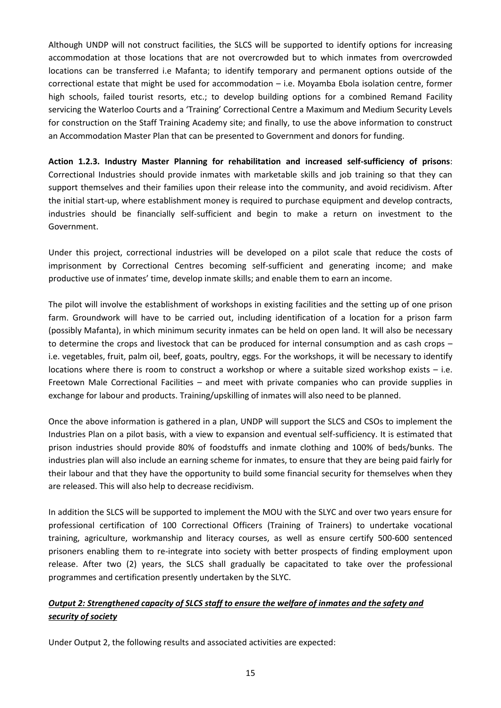Although UNDP will not construct facilities, the SLCS will be supported to identify options for increasing accommodation at those locations that are not overcrowded but to which inmates from overcrowded locations can be transferred i.e Mafanta; to identify temporary and permanent options outside of the correctional estate that might be used for accommodation – i.e. Moyamba Ebola isolation centre, former high schools, failed tourist resorts, etc.; to develop building options for a combined Remand Facility servicing the Waterloo Courts and a 'Training' Correctional Centre a Maximum and Medium Security Levels for construction on the Staff Training Academy site; and finally, to use the above information to construct an Accommodation Master Plan that can be presented to Government and donors for funding.

**Action 1.2.3. Industry Master Planning for rehabilitation and increased self-sufficiency of prisons**: Correctional Industries should provide inmates with marketable skills and job training so that they can support themselves and their families upon their release into the community, and avoid recidivism. After the initial start-up, where establishment money is required to purchase equipment and develop contracts, industries should be financially self-sufficient and begin to make a return on investment to the Government.

Under this project, correctional industries will be developed on a pilot scale that reduce the costs of imprisonment by Correctional Centres becoming self-sufficient and generating income; and make productive use of inmates' time, develop inmate skills; and enable them to earn an income.

The pilot will involve the establishment of workshops in existing facilities and the setting up of one prison farm. Groundwork will have to be carried out, including identification of a location for a prison farm (possibly Mafanta), in which minimum security inmates can be held on open land. It will also be necessary to determine the crops and livestock that can be produced for internal consumption and as cash crops – i.e. vegetables, fruit, palm oil, beef, goats, poultry, eggs. For the workshops, it will be necessary to identify locations where there is room to construct a workshop or where a suitable sized workshop exists – i.e. Freetown Male Correctional Facilities – and meet with private companies who can provide supplies in exchange for labour and products. Training/upskilling of inmates will also need to be planned.

Once the above information is gathered in a plan, UNDP will support the SLCS and CSOs to implement the Industries Plan on a pilot basis, with a view to expansion and eventual self-sufficiency. It is estimated that prison industries should provide 80% of foodstuffs and inmate clothing and 100% of beds/bunks. The industries plan will also include an earning scheme for inmates, to ensure that they are being paid fairly for their labour and that they have the opportunity to build some financial security for themselves when they are released. This will also help to decrease recidivism.

In addition the SLCS will be supported to implement the MOU with the SLYC and over two years ensure for professional certification of 100 Correctional Officers (Training of Trainers) to undertake vocational training, agriculture, workmanship and literacy courses, as well as ensure certify 500-600 sentenced prisoners enabling them to re-integrate into society with better prospects of finding employment upon release. After two (2) years, the SLCS shall gradually be capacitated to take over the professional programmes and certification presently undertaken by the SLYC.

# *Output 2: Strengthened capacity of SLCS staff to ensure the welfare of inmates and the safety and security of society*

Under Output 2, the following results and associated activities are expected: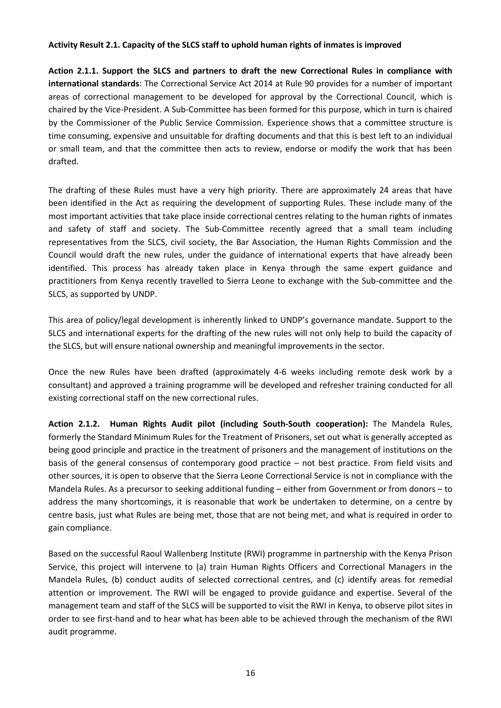## **Activity Result 2.1. Capacity of the SLCS staff to uphold human rights of inmates is improved**

**Action 2.1.1. Support the SLCS and partners to draft the new Correctional Rules in compliance with international standards**: The Correctional Service Act 2014 at Rule 90 provides for a number of important areas of correctional management to be developed for approval by the Correctional Council, which is chaired by the Vice-President. A Sub-Committee has been formed for this purpose, which in turn is chaired by the Commissioner of the Public Service Commission. Experience shows that a committee structure is time consuming, expensive and unsuitable for drafting documents and that this is best left to an individual or small team, and that the committee then acts to review, endorse or modify the work that has been drafted.

The drafting of these Rules must have a very high priority. There are approximately 24 areas that have been identified in the Act as requiring the development of supporting Rules. These include many of the most important activities that take place inside correctional centres relating to the human rights of inmates and safety of staff and society. The Sub-Committee recently agreed that a small team including representatives from the SLCS, civil society, the Bar Association, the Human Rights Commission and the Council would draft the new rules, under the guidance of international experts that have already been identified. This process has already taken place in Kenya through the same expert guidance and practitioners from Kenya recently travelled to Sierra Leone to exchange with the Sub-committee and the SLCS, as supported by UNDP.

This area of policy/legal development is inherently linked to UNDP's governance mandate. Support to the SLCS and international experts for the drafting of the new rules will not only help to build the capacity of the SLCS, but will ensure national ownership and meaningful improvements in the sector.

Once the new Rules have been drafted (approximately 4-6 weeks including remote desk work by a consultant) and approved a training programme will be developed and refresher training conducted for all existing correctional staff on the new correctional rules.

**Action 2.1.2. Human Rights Audit pilot (including South-South cooperation):** The Mandela Rules, formerly the Standard Minimum Rules for the Treatment of Prisoners, set out what is generally accepted as being good principle and practice in the treatment of prisoners and the management of institutions on the basis of the general consensus of contemporary good practice – not best practice. From field visits and other sources, it is open to observe that the Sierra Leone Correctional Service is not in compliance with the Mandela Rules. As a precursor to seeking additional funding – either from Government or from donors – to address the many shortcomings, it is reasonable that work be undertaken to determine, on a centre by centre basis, just what Rules are being met, those that are not being met, and what is required in order to gain compliance.

Based on the successful Raoul Wallenberg Institute (RWI) programme in partnership with the Kenya Prison Service, this project will intervene to (a) train Human Rights Officers and Correctional Managers in the Mandela Rules, (b) conduct audits of selected correctional centres, and (c) identify areas for remedial attention or improvement. The RWI will be engaged to provide guidance and expertise. Several of the management team and staff of the SLCS will be supported to visit the RWI in Kenya, to observe pilot sites in order to see first-hand and to hear what has been able to be achieved through the mechanism of the RWI audit programme.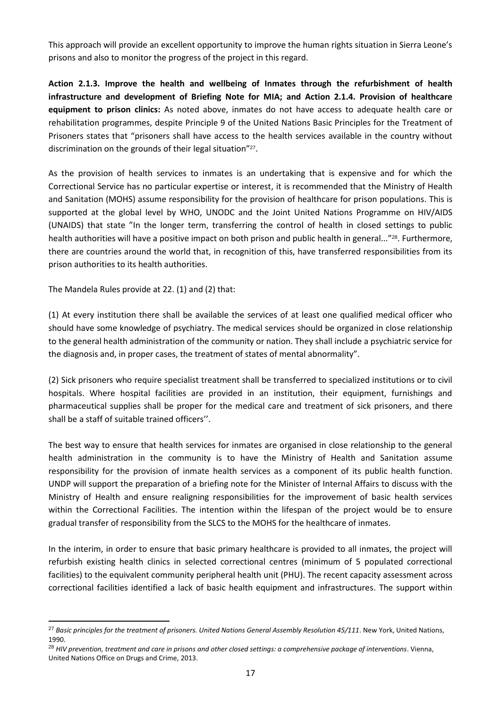This approach will provide an excellent opportunity to improve the human rights situation in Sierra Leone's prisons and also to monitor the progress of the project in this regard.

**Action 2.1.3. Improve the health and wellbeing of Inmates through the refurbishment of health infrastructure and development of Briefing Note for MIA; and Action 2.1.4. Provision of healthcare equipment to prison clinics:** As noted above, inmates do not have access to adequate health care or rehabilitation programmes, despite Principle 9 of the United Nations Basic Principles for the Treatment of Prisoners states that "prisoners shall have access to the health services available in the country without discrimination on the grounds of their legal situation"<sup>27</sup>.

As the provision of health services to inmates is an undertaking that is expensive and for which the Correctional Service has no particular expertise or interest, it is recommended that the Ministry of Health and Sanitation (MOHS) assume responsibility for the provision of healthcare for prison populations. This is supported at the global level by WHO, UNODC and the Joint United Nations Programme on HIV/AIDS (UNAIDS) that state "In the longer term, transferring the control of health in closed settings to public health authorities will have a positive impact on both prison and public health in general..."28. Furthermore, there are countries around the world that, in recognition of this, have transferred responsibilities from its prison authorities to its health authorities.

The Mandela Rules provide at 22. (1) and (2) that:

l

(1) At every institution there shall be available the services of at least one qualified medical officer who should have some knowledge of psychiatry. The medical services should be organized in close relationship to the general health administration of the community or nation. They shall include a psychiatric service for the diagnosis and, in proper cases, the treatment of states of mental abnormality".

(2) Sick prisoners who require specialist treatment shall be transferred to specialized institutions or to civil hospitals. Where hospital facilities are provided in an institution, their equipment, furnishings and pharmaceutical supplies shall be proper for the medical care and treatment of sick prisoners, and there shall be a staff of suitable trained officers''.

The best way to ensure that health services for inmates are organised in close relationship to the general health administration in the community is to have the Ministry of Health and Sanitation assume responsibility for the provision of inmate health services as a component of its public health function. UNDP will support the preparation of a briefing note for the Minister of Internal Affairs to discuss with the Ministry of Health and ensure realigning responsibilities for the improvement of basic health services within the Correctional Facilities. The intention within the lifespan of the project would be to ensure gradual transfer of responsibility from the SLCS to the MOHS for the healthcare of inmates.

In the interim, in order to ensure that basic primary healthcare is provided to all inmates, the project will refurbish existing health clinics in selected correctional centres (minimum of 5 populated correctional facilities) to the equivalent community peripheral health unit (PHU). The recent capacity assessment across correctional facilities identified a lack of basic health equipment and infrastructures. The support within

<sup>27</sup> *Basic principles for the treatment of prisoners. United Nations General Assembly Resolution 45/111*. New York, United Nations, 1990.

<sup>28</sup> *HIV prevention, treatment and care in prisons and other closed settings: a comprehensive package of interventions*. Vienna, United Nations Office on Drugs and Crime, 2013.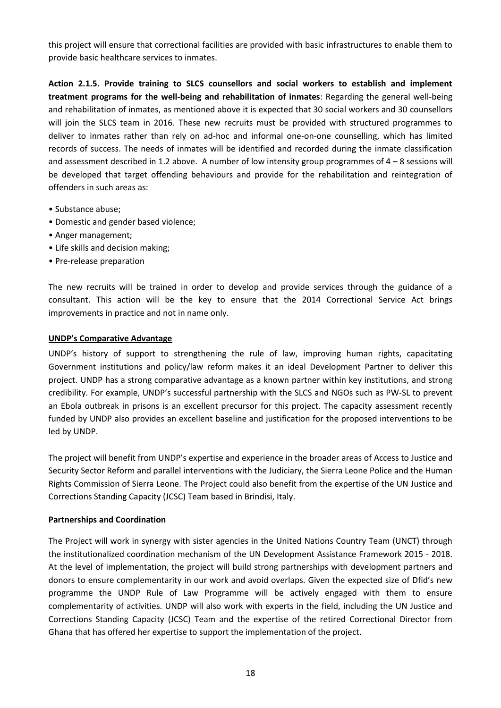this project will ensure that correctional facilities are provided with basic infrastructures to enable them to provide basic healthcare services to inmates.

**Action 2.1.5. Provide training to SLCS counsellors and social workers to establish and implement treatment programs for the well-being and rehabilitation of inmates**: Regarding the general well-being and rehabilitation of inmates, as mentioned above it is expected that 30 social workers and 30 counsellors will join the SLCS team in 2016. These new recruits must be provided with structured programmes to deliver to inmates rather than rely on ad-hoc and informal one-on-one counselling, which has limited records of success. The needs of inmates will be identified and recorded during the inmate classification and assessment described in 1.2 above. A number of low intensity group programmes of 4 – 8 sessions will be developed that target offending behaviours and provide for the rehabilitation and reintegration of offenders in such areas as:

- Substance abuse;
- Domestic and gender based violence;
- Anger management;
- Life skills and decision making;
- Pre-release preparation

The new recruits will be trained in order to develop and provide services through the guidance of a consultant. This action will be the key to ensure that the 2014 Correctional Service Act brings improvements in practice and not in name only.

## **UNDP's Comparative Advantage**

UNDP's history of support to strengthening the rule of law, improving human rights, capacitating Government institutions and policy/law reform makes it an ideal Development Partner to deliver this project. UNDP has a strong comparative advantage as a known partner within key institutions, and strong credibility. For example, UNDP's successful partnership with the SLCS and NGOs such as PW-SL to prevent an Ebola outbreak in prisons is an excellent precursor for this project. The capacity assessment recently funded by UNDP also provides an excellent baseline and justification for the proposed interventions to be led by UNDP.

The project will benefit from UNDP's expertise and experience in the broader areas of Access to Justice and Security Sector Reform and parallel interventions with the Judiciary, the Sierra Leone Police and the Human Rights Commission of Sierra Leone. The Project could also benefit from the expertise of the UN Justice and Corrections Standing Capacity (JCSC) Team based in Brindisi, Italy.

## **Partnerships and Coordination**

The Project will work in synergy with sister agencies in the United Nations Country Team (UNCT) through the institutionalized coordination mechanism of the UN Development Assistance Framework 2015 - 2018. At the level of implementation, the project will build strong partnerships with development partners and donors to ensure complementarity in our work and avoid overlaps. Given the expected size of Dfid's new programme the UNDP Rule of Law Programme will be actively engaged with them to ensure complementarity of activities. UNDP will also work with experts in the field, including the UN Justice and Corrections Standing Capacity (JCSC) Team and the expertise of the retired Correctional Director from Ghana that has offered her expertise to support the implementation of the project.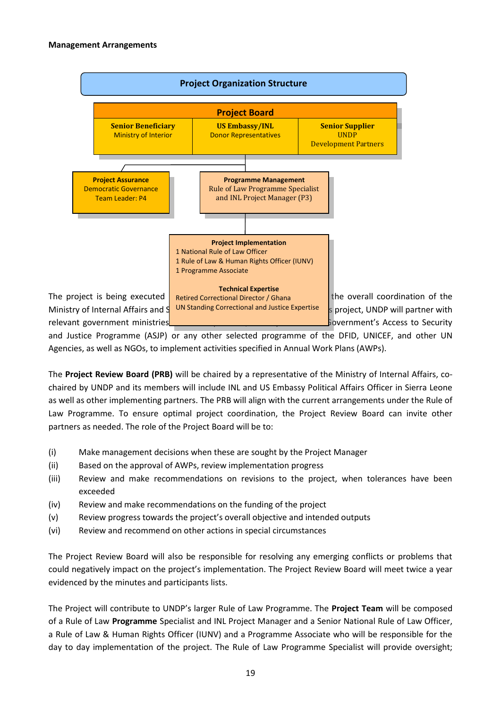

and Justice Programme (ASJP) or any other selected programme of the DFID, UNICEF, and other UN Agencies, as well as NGOs, to implement activities specified in Annual Work Plans (AWPs).

The **Project Review Board (PRB)** will be chaired by a representative of the Ministry of Internal Affairs, cochaired by UNDP and its members will include INL and US Embassy Political Affairs Officer in Sierra Leone as well as other implementing partners. The PRB will align with the current arrangements under the Rule of Law Programme. To ensure optimal project coordination, the Project Review Board can invite other partners as needed. The role of the Project Board will be to:

- (i) Make management decisions when these are sought by the Project Manager
- (ii) Based on the approval of AWPs, review implementation progress
- (iii) Review and make recommendations on revisions to the project, when tolerances have been exceeded
- (iv) Review and make recommendations on the funding of the project
- (v) Review progress towards the project's overall objective and intended outputs
- (vi) Review and recommend on other actions in special circumstances

The Project Review Board will also be responsible for resolving any emerging conflicts or problems that could negatively impact on the project's implementation. The Project Review Board will meet twice a year evidenced by the minutes and participants lists.

The Project will contribute to UNDP's larger Rule of Law Programme. The **Project Team** will be composed of a Rule of Law **Programme** Specialist and INL Project Manager and a Senior National Rule of Law Officer, a Rule of Law & Human Rights Officer (IUNV) and a Programme Associate who will be responsible for the day to day implementation of the project. The Rule of Law Programme Specialist will provide oversight;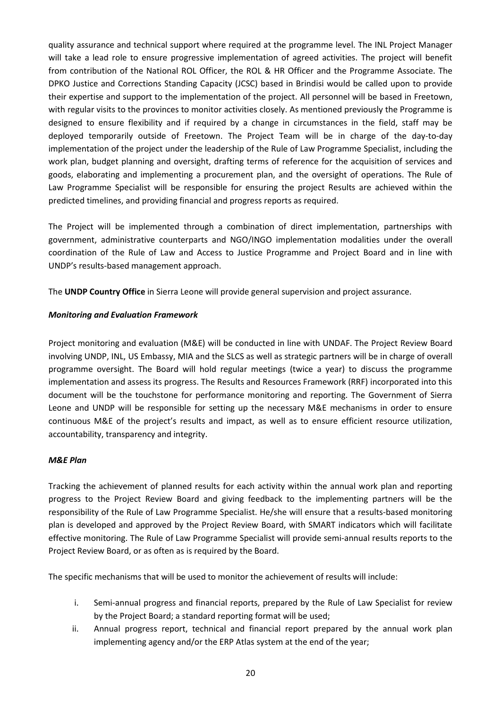quality assurance and technical support where required at the programme level. The INL Project Manager will take a lead role to ensure progressive implementation of agreed activities. The project will benefit from contribution of the National ROL Officer, the ROL & HR Officer and the Programme Associate. The DPKO Justice and Corrections Standing Capacity (JCSC) based in Brindisi would be called upon to provide their expertise and support to the implementation of the project. All personnel will be based in Freetown, with regular visits to the provinces to monitor activities closely. As mentioned previously the Programme is designed to ensure flexibility and if required by a change in circumstances in the field, staff may be deployed temporarily outside of Freetown. The Project Team will be in charge of the day-to-day implementation of the project under the leadership of the Rule of Law Programme Specialist, including the work plan, budget planning and oversight, drafting terms of reference for the acquisition of services and goods, elaborating and implementing a procurement plan, and the oversight of operations. The Rule of Law Programme Specialist will be responsible for ensuring the project Results are achieved within the predicted timelines, and providing financial and progress reports as required.

The Project will be implemented through a combination of direct implementation, partnerships with government, administrative counterparts and NGO/INGO implementation modalities under the overall coordination of the Rule of Law and Access to Justice Programme and Project Board and in line with UNDP's results-based management approach.

The **UNDP Country Office** in Sierra Leone will provide general supervision and project assurance.

## *Monitoring and Evaluation Framework*

Project monitoring and evaluation (M&E) will be conducted in line with UNDAF. The Project Review Board involving UNDP, INL, US Embassy, MIA and the SLCS as well as strategic partners will be in charge of overall programme oversight. The Board will hold regular meetings (twice a year) to discuss the programme implementation and assess its progress. The Results and Resources Framework (RRF) incorporated into this document will be the touchstone for performance monitoring and reporting. The Government of Sierra Leone and UNDP will be responsible for setting up the necessary M&E mechanisms in order to ensure continuous M&E of the project's results and impact, as well as to ensure efficient resource utilization, accountability, transparency and integrity.

## *M&E Plan*

Tracking the achievement of planned results for each activity within the annual work plan and reporting progress to the Project Review Board and giving feedback to the implementing partners will be the responsibility of the Rule of Law Programme Specialist. He/she will ensure that a results-based monitoring plan is developed and approved by the Project Review Board, with SMART indicators which will facilitate effective monitoring. The Rule of Law Programme Specialist will provide semi-annual results reports to the Project Review Board, or as often as is required by the Board.

The specific mechanisms that will be used to monitor the achievement of results will include:

- i. Semi-annual progress and financial reports, prepared by the Rule of Law Specialist for review by the Project Board; a standard reporting format will be used;
- ii. Annual progress report, technical and financial report prepared by the annual work plan implementing agency and/or the ERP Atlas system at the end of the year;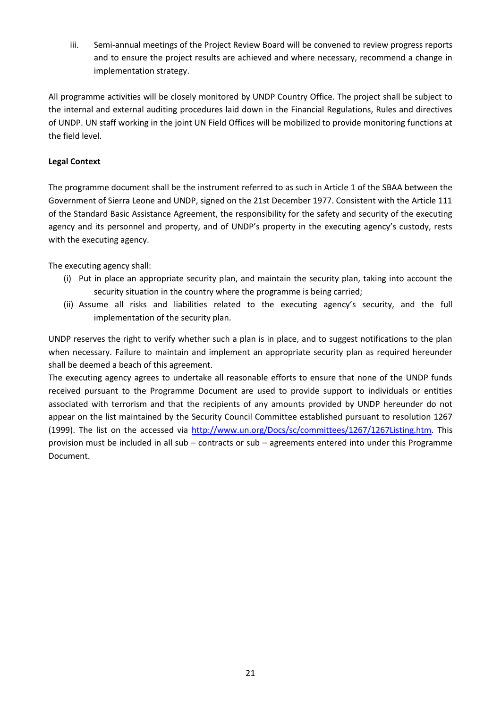iii. Semi-annual meetings of the Project Review Board will be convened to review progress reports and to ensure the project results are achieved and where necessary, recommend a change in implementation strategy.

All programme activities will be closely monitored by UNDP Country Office. The project shall be subject to the internal and external auditing procedures laid down in the Financial Regulations, Rules and directives of UNDP. UN staff working in the joint UN Field Offices will be mobilized to provide monitoring functions at the field level.

# **Legal Context**

The programme document shall be the instrument referred to as such in Article 1 of the SBAA between the Government of Sierra Leone and UNDP, signed on the 21st December 1977. Consistent with the Article 111 of the Standard Basic Assistance Agreement, the responsibility for the safety and security of the executing agency and its personnel and property, and of UNDP's property in the executing agency's custody, rests with the executing agency.

The executing agency shall:

- (i) Put in place an appropriate security plan, and maintain the security plan, taking into account the security situation in the country where the programme is being carried;
- (ii) Assume all risks and liabilities related to the executing agency's security, and the full implementation of the security plan.

UNDP reserves the right to verify whether such a plan is in place, and to suggest notifications to the plan when necessary. Failure to maintain and implement an appropriate security plan as required hereunder shall be deemed a beach of this agreement.

The executing agency agrees to undertake all reasonable efforts to ensure that none of the UNDP funds received pursuant to the Programme Document are used to provide support to individuals or entities associated with terrorism and that the recipients of any amounts provided by UNDP hereunder do not appear on the list maintained by the Security Council Committee established pursuant to resolution 1267 (1999). The list on the accessed via [http://www.un.org/Docs/sc/committees/1267/1267Listing.htm.](http://www.un.org/Docs/sc/committees/1267/1267Listing.htm) This provision must be included in all sub – contracts or sub – agreements entered into under this Programme Document.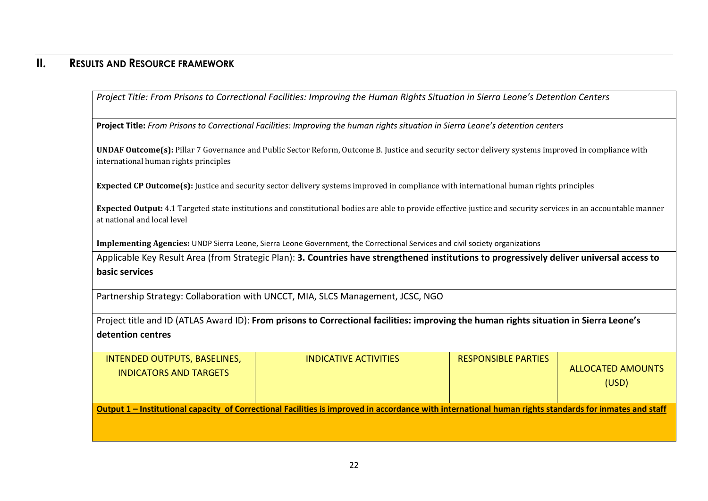# **II. RESULTS AND RESOURCE FRAMEWORK**

*Project Title: From Prisons to Correctional Facilities: Improving the Human Rights Situation in Sierra Leone's Detention Centers*

**Project Title:** *From Prisons to Correctional Facilities: Improving the human rights situation in Sierra Leone's detention centers*

**UNDAF Outcome(s):** Pillar 7 Governance and Public Sector Reform, Outcome B. Justice and security sector delivery systems improved in compliance with international human rights principles

**Expected CP Outcome(s):** Justice and security sector delivery systems improved in compliance with international human rights principles

**Expected Output:** 4.1 Targeted state institutions and constitutional bodies are able to provide effective justice and security services in an accountable manner at national and local level

**Implementing Agencies:** UNDP Sierra Leone, Sierra Leone Government, the Correctional Services and civil society organizations

Applicable Key Result Area (from Strategic Plan): **3. Countries have strengthened institutions to progressively deliver universal access to basic services**

Partnership Strategy: Collaboration with UNCCT, MIA, SLCS Management, JCSC, NGO

Project title and ID (ATLAS Award ID): **From prisons to Correctional facilities: improving the human rights situation in Sierra Leone's detention centres**

| INTENDED OUTPUTS, BASELINES,<br><b>INDICATORS AND TARGETS</b> | INDICATIVE ACTIVITIES                                                                                                                                  | <b>RESPONSIBLE PARTIES</b> | ALLOCATED AMOUNTS<br>(USD) |
|---------------------------------------------------------------|--------------------------------------------------------------------------------------------------------------------------------------------------------|----------------------------|----------------------------|
|                                                               | Output 1 – Institutional capacity of Correctional Facilities is improved in accordance with international human rights standards for inmates and staff |                            |                            |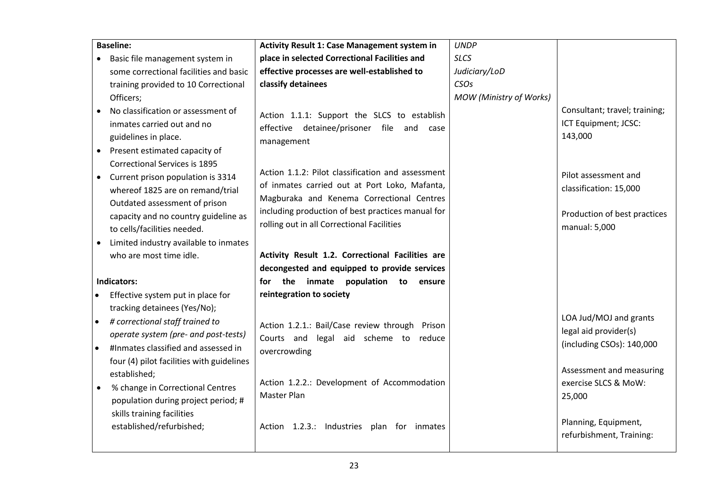| <b>Baseline:</b>                                                                                                                                                                                                                                               | <b>Activity Result 1: Case Management system in</b>                                                                                                                                                                                                | <b>UNDP</b>             |                                                                                                 |
|----------------------------------------------------------------------------------------------------------------------------------------------------------------------------------------------------------------------------------------------------------------|----------------------------------------------------------------------------------------------------------------------------------------------------------------------------------------------------------------------------------------------------|-------------------------|-------------------------------------------------------------------------------------------------|
| Basic file management system in                                                                                                                                                                                                                                | place in selected Correctional Facilities and                                                                                                                                                                                                      | <b>SLCS</b>             |                                                                                                 |
| some correctional facilities and basic                                                                                                                                                                                                                         | effective processes are well-established to                                                                                                                                                                                                        | Judiciary/LoD           |                                                                                                 |
| training provided to 10 Correctional                                                                                                                                                                                                                           | classify detainees                                                                                                                                                                                                                                 | <b>CSO<sub>S</sub></b>  |                                                                                                 |
| Officers;                                                                                                                                                                                                                                                      |                                                                                                                                                                                                                                                    | MOW (Ministry of Works) |                                                                                                 |
| No classification or assessment of<br>inmates carried out and no<br>guidelines in place.<br>Present estimated capacity of                                                                                                                                      | Action 1.1.1: Support the SLCS to establish<br>effective detainee/prisoner file and case<br>management                                                                                                                                             |                         | Consultant; travel; training;<br>ICT Equipment; JCSC:<br>143,000                                |
| <b>Correctional Services is 1895</b><br>Current prison population is 3314<br>whereof 1825 are on remand/trial<br>Outdated assessment of prison<br>capacity and no country guideline as<br>to cells/facilities needed.<br>Limited industry available to inmates | Action 1.1.2: Pilot classification and assessment<br>of inmates carried out at Port Loko, Mafanta,<br>Magburaka and Kenema Correctional Centres<br>including production of best practices manual for<br>rolling out in all Correctional Facilities |                         | Pilot assessment and<br>classification: 15,000<br>Production of best practices<br>manual: 5,000 |
| who are most time idle.                                                                                                                                                                                                                                        | Activity Result 1.2. Correctional Facilities are                                                                                                                                                                                                   |                         |                                                                                                 |
|                                                                                                                                                                                                                                                                | decongested and equipped to provide services                                                                                                                                                                                                       |                         |                                                                                                 |
| <b>Indicators:</b>                                                                                                                                                                                                                                             | the<br>inmate<br>population to ensure<br>for                                                                                                                                                                                                       |                         |                                                                                                 |
| Effective system put in place for                                                                                                                                                                                                                              | reintegration to society                                                                                                                                                                                                                           |                         |                                                                                                 |
| tracking detainees (Yes/No);<br># correctional staff trained to<br>$\bullet$<br>operate system (pre- and post-tests)<br>#Inmates classified and assessed in<br>$\bullet$<br>four (4) pilot facilities with guidelines                                          | Action 1.2.1.: Bail/Case review through Prison<br>Courts and legal aid scheme to reduce<br>overcrowding                                                                                                                                            |                         | LOA Jud/MOJ and grants<br>legal aid provider(s)<br>(including CSOs): 140,000                    |
| established;<br>% change in Correctional Centres<br>$\bullet$<br>population during project period; #<br>skills training facilities                                                                                                                             | Action 1.2.2.: Development of Accommodation<br>Master Plan                                                                                                                                                                                         |                         | Assessment and measuring<br>exercise SLCS & MoW:<br>25,000                                      |
| established/refurbished;                                                                                                                                                                                                                                       | Action 1.2.3.: Industries plan for inmates                                                                                                                                                                                                         |                         | Planning, Equipment,<br>refurbishment, Training:                                                |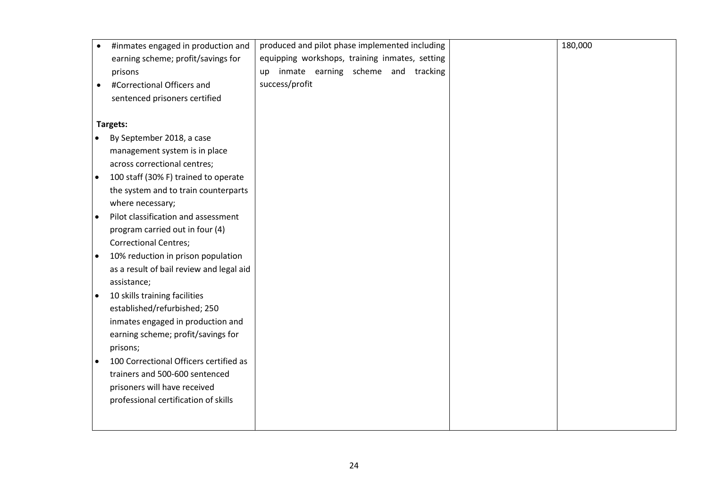|           | #inmates engaged in production and       | produced and pilot phase implemented including | 180,000 |
|-----------|------------------------------------------|------------------------------------------------|---------|
|           | earning scheme; profit/savings for       | equipping workshops, training inmates, setting |         |
|           | prisons                                  | up inmate earning scheme and tracking          |         |
|           | #Correctional Officers and               | success/profit                                 |         |
|           | sentenced prisoners certified            |                                                |         |
|           |                                          |                                                |         |
|           | Targets:                                 |                                                |         |
|           | By September 2018, a case                |                                                |         |
|           | management system is in place            |                                                |         |
|           | across correctional centres;             |                                                |         |
| $\bullet$ | 100 staff (30% F) trained to operate     |                                                |         |
|           | the system and to train counterparts     |                                                |         |
|           | where necessary;                         |                                                |         |
|           | Pilot classification and assessment      |                                                |         |
|           | program carried out in four (4)          |                                                |         |
|           | <b>Correctional Centres;</b>             |                                                |         |
| $\bullet$ | 10% reduction in prison population       |                                                |         |
|           | as a result of bail review and legal aid |                                                |         |
|           | assistance;                              |                                                |         |
|           | 10 skills training facilities            |                                                |         |
|           | established/refurbished; 250             |                                                |         |
|           | inmates engaged in production and        |                                                |         |
|           | earning scheme; profit/savings for       |                                                |         |
|           | prisons;                                 |                                                |         |
| $\bullet$ | 100 Correctional Officers certified as   |                                                |         |
|           | trainers and 500-600 sentenced           |                                                |         |
|           | prisoners will have received             |                                                |         |
|           | professional certification of skills     |                                                |         |
|           |                                          |                                                |         |
|           |                                          |                                                |         |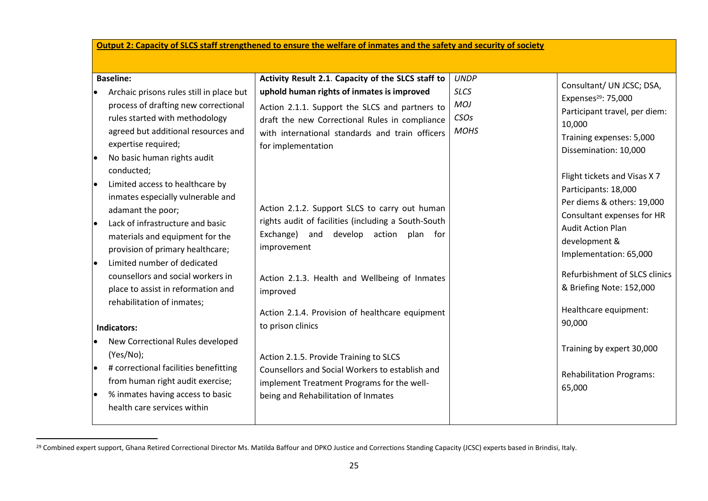# **Output 2: Capacity of SLCS staff strengthened to ensure the welfare of inmates and the safety and security of society**

| <b>Baseline:</b>                                                                                                                                                                                                                                                                                                                                                                                                                                                                                                                                                                                                                 | Activity Result 2.1. Capacity of the SLCS staff to                                                                                                                                                                                                                                                                                                                                                                                                                                                                                 | <b>UNDP</b>                                      |                                                                                                                                                                                                                                                                                                                                                                                                                                                                                      |
|----------------------------------------------------------------------------------------------------------------------------------------------------------------------------------------------------------------------------------------------------------------------------------------------------------------------------------------------------------------------------------------------------------------------------------------------------------------------------------------------------------------------------------------------------------------------------------------------------------------------------------|------------------------------------------------------------------------------------------------------------------------------------------------------------------------------------------------------------------------------------------------------------------------------------------------------------------------------------------------------------------------------------------------------------------------------------------------------------------------------------------------------------------------------------|--------------------------------------------------|--------------------------------------------------------------------------------------------------------------------------------------------------------------------------------------------------------------------------------------------------------------------------------------------------------------------------------------------------------------------------------------------------------------------------------------------------------------------------------------|
| Archaic prisons rules still in place but<br>process of drafting new correctional<br>rules started with methodology<br>agreed but additional resources and<br>expertise required;<br>No basic human rights audit<br>conducted;<br>Limited access to healthcare by<br>inmates especially vulnerable and<br>adamant the poor;<br>Lack of infrastructure and basic<br>materials and equipment for the<br>provision of primary healthcare;<br>Limited number of dedicated<br>counsellors and social workers in<br>place to assist in reformation and<br>rehabilitation of inmates;<br>Indicators:<br>New Correctional Rules developed | uphold human rights of inmates is improved<br>Action 2.1.1. Support the SLCS and partners to<br>draft the new Correctional Rules in compliance<br>with international standards and train officers<br>for implementation<br>Action 2.1.2. Support SLCS to carry out human<br>rights audit of facilities (including a South-South<br>Exchange) and develop<br>action<br>plan for<br>improvement<br>Action 2.1.3. Health and Wellbeing of Inmates<br>improved<br>Action 2.1.4. Provision of healthcare equipment<br>to prison clinics | <b>SLCS</b><br><b>MOJ</b><br>CSOs<br><b>MOHS</b> | Consultant/ UN JCSC; DSA,<br>Expenses <sup>29</sup> : 75,000<br>Participant travel, per diem:<br>10,000<br>Training expenses: 5,000<br>Dissemination: 10,000<br>Flight tickets and Visas X 7<br>Participants: 18,000<br>Per diems & others: 19,000<br>Consultant expenses for HR<br><b>Audit Action Plan</b><br>development &<br>Implementation: 65,000<br>Refurbishment of SLCS clinics<br>& Briefing Note: 152,000<br>Healthcare equipment:<br>90,000<br>Training by expert 30,000 |
| (Yes/No);<br># correctional facilities benefitting<br>from human right audit exercise;<br>% inmates having access to basic<br>health care services within                                                                                                                                                                                                                                                                                                                                                                                                                                                                        | Action 2.1.5. Provide Training to SLCS<br>Counsellors and Social Workers to establish and<br>implement Treatment Programs for the well-<br>being and Rehabilitation of Inmates                                                                                                                                                                                                                                                                                                                                                     |                                                  | <b>Rehabilitation Programs:</b><br>65,000                                                                                                                                                                                                                                                                                                                                                                                                                                            |

<sup>&</sup>lt;sup>29</sup> Combined expert support, Ghana Retired Correctional Director Ms. Matilda Baffour and DPKO Justice and Corrections Standing Capacity (JCSC) experts based in Brindisi, Italy.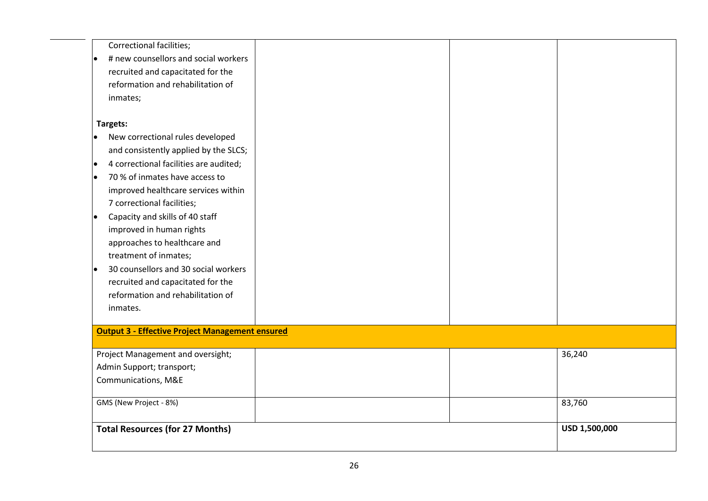| <b>Correctional facilities;</b>                        |  |               |
|--------------------------------------------------------|--|---------------|
| # new counsellors and social workers<br>$\bullet$      |  |               |
| recruited and capacitated for the                      |  |               |
| reformation and rehabilitation of                      |  |               |
| inmates;                                               |  |               |
| Targets:                                               |  |               |
| New correctional rules developed                       |  |               |
| and consistently applied by the SLCS;                  |  |               |
| 4 correctional facilities are audited;<br>$\bullet$    |  |               |
| 70 % of inmates have access to<br>lo                   |  |               |
| improved healthcare services within                    |  |               |
| 7 correctional facilities;                             |  |               |
| Capacity and skills of 40 staff<br>$\bullet$           |  |               |
| improved in human rights                               |  |               |
| approaches to healthcare and                           |  |               |
| treatment of inmates;                                  |  |               |
| 30 counsellors and 30 social workers<br>l.             |  |               |
| recruited and capacitated for the                      |  |               |
| reformation and rehabilitation of                      |  |               |
| inmates.                                               |  |               |
| <b>Output 3 - Effective Project Management ensured</b> |  |               |
| Project Management and oversight;                      |  | 36,240        |
| Admin Support; transport;                              |  |               |
| Communications, M&E                                    |  |               |
| GMS (New Project - 8%)                                 |  | 83,760        |
| <b>Total Resources (for 27 Months)</b>                 |  | USD 1,500,000 |
|                                                        |  |               |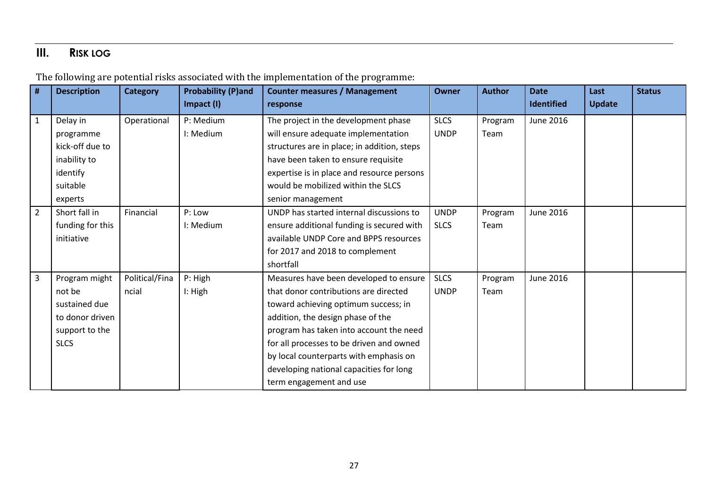# **III. RISK LOG**

| #              | <b>Description</b> | <b>Category</b> | <b>Probability (P)and</b> | <b>Counter measures / Management</b>        | Owner       | <b>Author</b> | <b>Date</b>       | Last          | <b>Status</b> |
|----------------|--------------------|-----------------|---------------------------|---------------------------------------------|-------------|---------------|-------------------|---------------|---------------|
|                |                    |                 | Impact (I)                | response                                    |             |               | <b>Identified</b> | <b>Update</b> |               |
| $\mathbf{1}$   | Delay in           | Operational     | P: Medium                 | The project in the development phase        | <b>SLCS</b> | Program       | <b>June 2016</b>  |               |               |
|                | programme          |                 | I: Medium                 | will ensure adequate implementation         | <b>UNDP</b> | Team          |                   |               |               |
|                | kick-off due to    |                 |                           | structures are in place; in addition, steps |             |               |                   |               |               |
|                | inability to       |                 |                           | have been taken to ensure requisite         |             |               |                   |               |               |
|                | identify           |                 |                           | expertise is in place and resource persons  |             |               |                   |               |               |
|                | suitable           |                 |                           | would be mobilized within the SLCS          |             |               |                   |               |               |
|                | experts            |                 |                           | senior management                           |             |               |                   |               |               |
| $\overline{2}$ | Short fall in      | Financial       | P: Low                    | UNDP has started internal discussions to    | <b>UNDP</b> | Program       | June 2016         |               |               |
|                | funding for this   |                 | I: Medium                 | ensure additional funding is secured with   | <b>SLCS</b> | Team          |                   |               |               |
|                | initiative         |                 |                           | available UNDP Core and BPPS resources      |             |               |                   |               |               |
|                |                    |                 |                           | for 2017 and 2018 to complement             |             |               |                   |               |               |
|                |                    |                 |                           | shortfall                                   |             |               |                   |               |               |
| $\overline{3}$ | Program might      | Political/Fina  | P: High                   | Measures have been developed to ensure      | <b>SLCS</b> | Program       | June 2016         |               |               |
|                | not be             | ncial           | I: High                   | that donor contributions are directed       | <b>UNDP</b> | Team          |                   |               |               |
|                | sustained due      |                 |                           | toward achieving optimum success; in        |             |               |                   |               |               |
|                | to donor driven    |                 |                           | addition, the design phase of the           |             |               |                   |               |               |
|                | support to the     |                 |                           | program has taken into account the need     |             |               |                   |               |               |
|                | <b>SLCS</b>        |                 |                           | for all processes to be driven and owned    |             |               |                   |               |               |
|                |                    |                 |                           | by local counterparts with emphasis on      |             |               |                   |               |               |
|                |                    |                 |                           | developing national capacities for long     |             |               |                   |               |               |
|                |                    |                 |                           | term engagement and use                     |             |               |                   |               |               |

The following are potential risks associated with the implementation of the programme: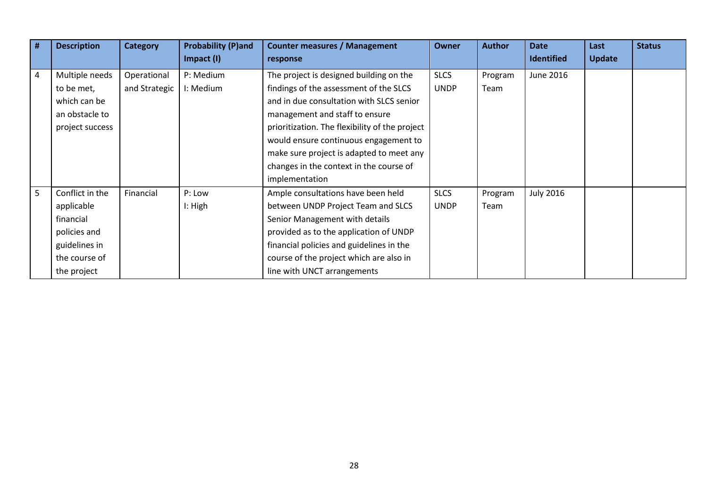| # | <b>Description</b>                                                                                          | <b>Category</b>              | <b>Probability (P)and</b><br>Impact (I) | <b>Counter measures / Management</b><br>response                                                                                                                                                                                                                                                       | <b>Owner</b>               | <b>Author</b>   | <b>Date</b><br><b>Identified</b> | Last<br><b>Update</b> | <b>Status</b> |
|---|-------------------------------------------------------------------------------------------------------------|------------------------------|-----------------------------------------|--------------------------------------------------------------------------------------------------------------------------------------------------------------------------------------------------------------------------------------------------------------------------------------------------------|----------------------------|-----------------|----------------------------------|-----------------------|---------------|
| 4 | Multiple needs<br>to be met,<br>which can be<br>an obstacle to<br>project success                           | Operational<br>and Strategic | P: Medium<br>I: Medium                  | The project is designed building on the<br>findings of the assessment of the SLCS<br>and in due consultation with SLCS senior<br>management and staff to ensure<br>prioritization. The flexibility of the project<br>would ensure continuous engagement to<br>make sure project is adapted to meet any | <b>SLCS</b><br><b>UNDP</b> | Program<br>Team | <b>June 2016</b>                 |                       |               |
|   |                                                                                                             |                              |                                         | changes in the context in the course of<br>implementation                                                                                                                                                                                                                                              |                            |                 |                                  |                       |               |
| 5 | Conflict in the<br>applicable<br>financial<br>policies and<br>guidelines in<br>the course of<br>the project | Financial                    | P: Low<br>I: High                       | Ample consultations have been held<br>between UNDP Project Team and SLCS<br>Senior Management with details<br>provided as to the application of UNDP<br>financial policies and guidelines in the<br>course of the project which are also in<br>line with UNCT arrangements                             | <b>SLCS</b><br><b>UNDP</b> | Program<br>Team | <b>July 2016</b>                 |                       |               |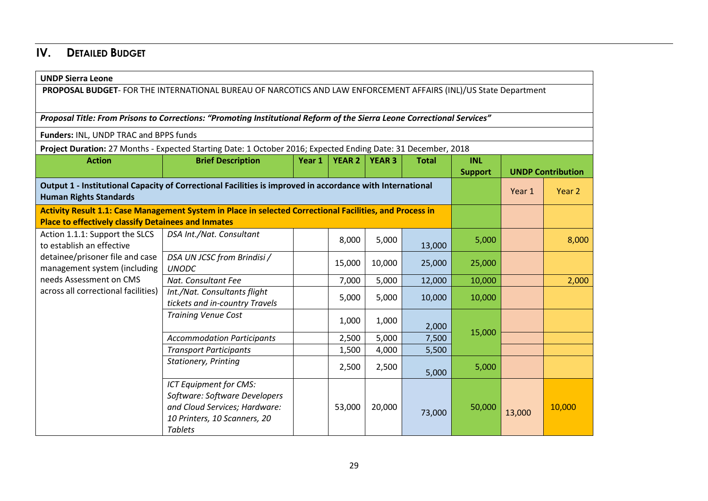# **IV. DETAILED BUDGET**

| <b>UNDP Sierra Leone</b>                                                                                                                   |                                                                                                                                            |        |               |               |              |                |        |                          |  |
|--------------------------------------------------------------------------------------------------------------------------------------------|--------------------------------------------------------------------------------------------------------------------------------------------|--------|---------------|---------------|--------------|----------------|--------|--------------------------|--|
|                                                                                                                                            | PROPOSAL BUDGET- FOR THE INTERNATIONAL BUREAU OF NARCOTICS AND LAW ENFORCEMENT AFFAIRS (INL)/US State Department                           |        |               |               |              |                |        |                          |  |
|                                                                                                                                            |                                                                                                                                            |        |               |               |              |                |        |                          |  |
| Proposal Title: From Prisons to Corrections: "Promoting Institutional Reform of the Sierra Leone Correctional Services"                    |                                                                                                                                            |        |               |               |              |                |        |                          |  |
| Funders: INL, UNDP TRAC and BPPS funds                                                                                                     |                                                                                                                                            |        |               |               |              |                |        |                          |  |
|                                                                                                                                            | Project Duration: 27 Months - Expected Starting Date: 1 October 2016; Expected Ending Date: 31 December, 2018                              |        |               |               |              |                |        |                          |  |
| <b>Action</b>                                                                                                                              | <b>Brief Description</b>                                                                                                                   | Year 1 | <b>YEAR 2</b> | <b>YEAR 3</b> | <b>Total</b> | <b>INL</b>     |        |                          |  |
|                                                                                                                                            |                                                                                                                                            |        |               |               |              | <b>Support</b> |        | <b>UNDP Contribution</b> |  |
| Output 1 - Institutional Capacity of Correctional Facilities is improved in accordance with International<br><b>Human Rights Standards</b> |                                                                                                                                            |        |               |               |              |                | Year 1 | Year 2                   |  |
| <b>Place to effectively classify Detainees and Inmates</b>                                                                                 | Activity Result 1.1: Case Management System in Place in selected Correctional Facilities, and Process in                                   |        |               |               |              |                |        |                          |  |
| Action 1.1.1: Support the SLCS<br>to establish an effective<br>detainee/prisoner file and case<br>management system (including             | DSA Int./Nat. Consultant                                                                                                                   |        | 8,000         | 5,000         | 13,000       | 5,000          |        | 8,000                    |  |
|                                                                                                                                            | DSA UN JCSC from Brindisi /<br><b>UNODC</b>                                                                                                |        | 15,000        | 10,000        | 25,000       | 25,000         |        |                          |  |
| needs Assessment on CMS                                                                                                                    | Nat. Consultant Fee                                                                                                                        |        | 7,000         | 5,000         | 12,000       | 10,000         |        | 2,000                    |  |
| across all correctional facilities)                                                                                                        | Int./Nat. Consultants flight<br>tickets and in-country Travels                                                                             |        | 5,000         | 5,000         | 10,000       | 10,000         |        |                          |  |
|                                                                                                                                            | <b>Training Venue Cost</b>                                                                                                                 |        | 1,000         | 1,000         | 2,000        |                |        |                          |  |
|                                                                                                                                            | <b>Accommodation Participants</b>                                                                                                          |        | 2,500         | 5,000         | 7,500        | 15,000         |        |                          |  |
|                                                                                                                                            | <b>Transport Participants</b>                                                                                                              |        | 1,500         | 4,000         | 5,500        |                |        |                          |  |
|                                                                                                                                            | Stationery, Printing                                                                                                                       |        | 2,500         | 2,500         | 5,000        | 5,000          |        |                          |  |
|                                                                                                                                            | ICT Equipment for CMS:<br>Software: Software Developers<br>and Cloud Services; Hardware:<br>10 Printers, 10 Scanners, 20<br><b>Tablets</b> |        | 53,000        | 20,000        | 73,000       | 50,000         | 13,000 | 10,000                   |  |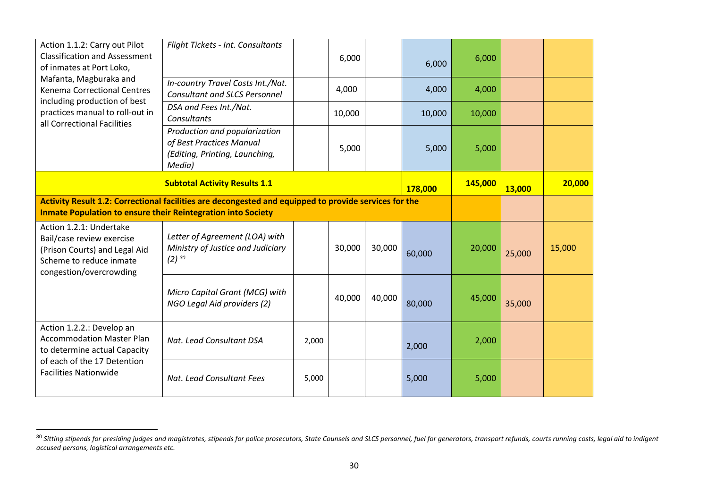| Action 1.1.2: Carry out Pilot<br><b>Classification and Assessment</b><br>of inmates at Port Loko,                                           | Flight Tickets - Int. Consultants                                                                                                                                            |         | 6,000  |        | 6,000  | 6,000  |        |        |
|---------------------------------------------------------------------------------------------------------------------------------------------|------------------------------------------------------------------------------------------------------------------------------------------------------------------------------|---------|--------|--------|--------|--------|--------|--------|
| Mafanta, Magburaka and<br><b>Kenema Correctional Centres</b>                                                                                | In-country Travel Costs Int./Nat.<br><b>Consultant and SLCS Personnel</b>                                                                                                    |         | 4,000  |        | 4,000  | 4,000  |        |        |
| including production of best<br>practices manual to roll-out in<br>all Correctional Facilities                                              | DSA and Fees Int./Nat.<br>Consultants                                                                                                                                        |         | 10,000 |        | 10,000 | 10,000 |        |        |
|                                                                                                                                             | Production and popularization<br>of Best Practices Manual<br>(Editing, Printing, Launching,<br>Media)                                                                        |         | 5,000  |        | 5,000  | 5,000  |        |        |
|                                                                                                                                             | 178,000                                                                                                                                                                      | 145,000 | 13,000 | 20,000 |        |        |        |        |
|                                                                                                                                             | Activity Result 1.2: Correctional facilities are decongested and equipped to provide services for the<br><b>Inmate Population to ensure their Reintegration into Society</b> |         |        |        |        |        |        |        |
| Action 1.2.1: Undertake<br>Bail/case review exercise<br>(Prison Courts) and Legal Aid<br>Scheme to reduce inmate<br>congestion/overcrowding | Letter of Agreement (LOA) with<br>Ministry of Justice and Judiciary<br>$(2)$ 30                                                                                              |         | 30,000 | 30,000 | 60,000 | 20,000 | 25,000 | 15,000 |
|                                                                                                                                             | Micro Capital Grant (MCG) with<br>NGO Legal Aid providers (2)                                                                                                                |         | 40,000 | 40,000 | 80,000 | 45,000 | 35,000 |        |
| Action 1.2.2.: Develop an<br><b>Accommodation Master Plan</b><br>to determine actual Capacity                                               | Nat. Lead Consultant DSA                                                                                                                                                     | 2,000   |        |        | 2,000  | 2,000  |        |        |
| of each of the 17 Detention<br><b>Facilities Nationwide</b>                                                                                 | Nat. Lead Consultant Fees                                                                                                                                                    | 5,000   |        |        | 5,000  | 5,000  |        |        |

 $^{\rm 30}$  Sitting stipends for presiding judges and magistrates, stipends for police prosecutors, State Counsels and SLCS personnel, fuel for generators, transport refunds, courts running costs, legal aid to indigent *accused persons, logistical arrangements etc.*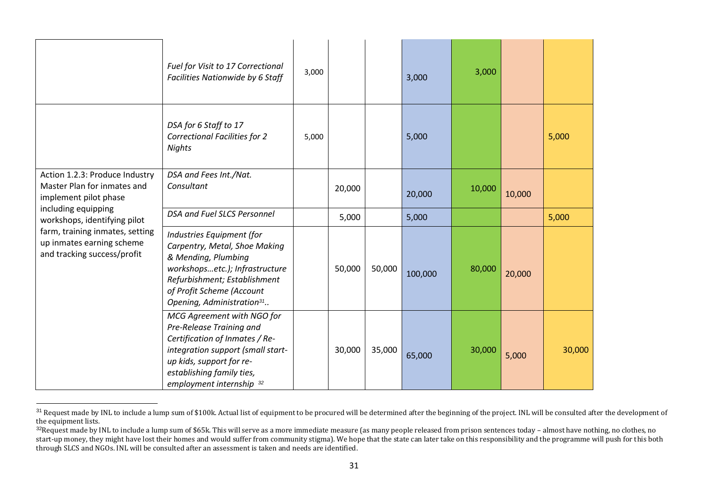|                                                                                             | Fuel for Visit to 17 Correctional<br>Facilities Nationwide by 6 Staff                                                                                                                                                     | 3,000 |        |        | 3,000   | 3,000  |        |        |
|---------------------------------------------------------------------------------------------|---------------------------------------------------------------------------------------------------------------------------------------------------------------------------------------------------------------------------|-------|--------|--------|---------|--------|--------|--------|
|                                                                                             | DSA for 6 Staff to 17<br><b>Correctional Facilities for 2</b><br>Nights                                                                                                                                                   | 5,000 |        |        | 5,000   |        |        | 5,000  |
| Action 1.2.3: Produce Industry<br>Master Plan for inmates and<br>implement pilot phase      | DSA and Fees Int./Nat.<br>Consultant                                                                                                                                                                                      |       | 20,000 |        | 20,000  | 10,000 | 10,000 |        |
| including equipping<br>workshops, identifying pilot                                         | DSA and Fuel SLCS Personnel                                                                                                                                                                                               |       | 5,000  |        | 5,000   |        |        | 5,000  |
| farm, training inmates, setting<br>up inmates earning scheme<br>and tracking success/profit | Industries Equipment (for<br>Carpentry, Metal, Shoe Making<br>& Mending, Plumbing<br>workshopsetc.); Infrastructure<br>Refurbishment; Establishment<br>of Profit Scheme (Account<br>Opening, Administration <sup>31</sup> |       | 50,000 | 50,000 | 100,000 | 80,000 | 20,000 |        |
|                                                                                             | MCG Agreement with NGO for<br>Pre-Release Training and<br>Certification of Inmates / Re-<br>integration support (small start-<br>up kids, support for re-<br>establishing family ties,<br>employment internship 32        |       | 30,000 | 35,000 | 65,000  | 30,000 | 5,000  | 30,000 |

 $^{31}$  Request made by INL to include a lump sum of \$100k. Actual list of equipment to be procured will be determined after the beginning of the project. INL will be consulted after the development of the equipment lists.

<sup>&</sup>lt;sup>32</sup>Request made by INL to include a lump sum of \$65k. This will serve as a more immediate measure (as many people released from prison sentences today – almost have nothing, no clothes, no start-up money, they might have lost their homes and would suffer from community stigma). We hope that the state can later take on this responsibility and the programme will push for this both through SLCS and NGOs. INL will be consulted after an assessment is taken and needs are identified.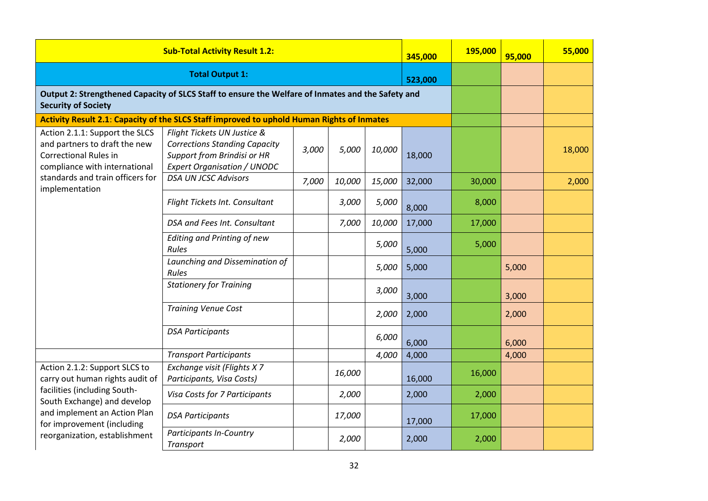| <b>Sub-Total Activity Result 1.2:</b>                                                                                            |                                                                                                                                          |       |        |        | 345,000 | 195,000 | 95,000 | 55,000 |
|----------------------------------------------------------------------------------------------------------------------------------|------------------------------------------------------------------------------------------------------------------------------------------|-------|--------|--------|---------|---------|--------|--------|
|                                                                                                                                  | <b>Total Output 1:</b>                                                                                                                   |       |        |        | 523,000 |         |        |        |
| Output 2: Strengthened Capacity of SLCS Staff to ensure the Welfare of Inmates and the Safety and<br><b>Security of Society</b>  |                                                                                                                                          |       |        |        |         |         |        |        |
|                                                                                                                                  | Activity Result 2.1: Capacity of the SLCS Staff improved to uphold Human Rights of Inmates                                               |       |        |        |         |         |        |        |
| Action 2.1.1: Support the SLCS<br>and partners to draft the new<br><b>Correctional Rules in</b><br>compliance with international | Flight Tickets UN Justice &<br><b>Corrections Standing Capacity</b><br>Support from Brindisi or HR<br><b>Expert Organisation / UNODC</b> | 3,000 | 5,000  | 10,000 | 18,000  |         |        | 18,000 |
| standards and train officers for                                                                                                 | <b>DSA UN JCSC Advisors</b>                                                                                                              | 7,000 | 10,000 | 15,000 | 32,000  | 30,000  |        | 2,000  |
| implementation                                                                                                                   | Flight Tickets Int. Consultant                                                                                                           |       | 3,000  | 5,000  | 8,000   | 8,000   |        |        |
|                                                                                                                                  | DSA and Fees Int. Consultant                                                                                                             |       | 7,000  | 10,000 | 17,000  | 17,000  |        |        |
|                                                                                                                                  | <b>Editing and Printing of new</b><br>Rules                                                                                              |       |        | 5,000  | 5,000   | 5,000   |        |        |
|                                                                                                                                  | Launching and Dissemination of<br>Rules                                                                                                  |       |        | 5,000  | 5,000   |         | 5,000  |        |
|                                                                                                                                  | <b>Stationery for Training</b>                                                                                                           |       |        | 3,000  | 3,000   |         | 3,000  |        |
|                                                                                                                                  | <b>Training Venue Cost</b>                                                                                                               |       |        | 2,000  | 2,000   |         | 2,000  |        |
|                                                                                                                                  | <b>DSA Participants</b>                                                                                                                  |       |        | 6,000  | 6,000   |         | 6,000  |        |
|                                                                                                                                  | <b>Transport Participants</b>                                                                                                            |       |        | 4,000  | 4,000   |         | 4,000  |        |
| Action 2.1.2: Support SLCS to<br>carry out human rights audit of                                                                 | Exchange visit (Flights X 7<br>Participants, Visa Costs)                                                                                 |       | 16,000 |        | 16,000  | 16,000  |        |        |
| facilities (including South-<br>South Exchange) and develop<br>and implement an Action Plan<br>for improvement (including        | Visa Costs for 7 Participants                                                                                                            |       | 2,000  |        | 2,000   | 2,000   |        |        |
|                                                                                                                                  | <b>DSA Participants</b>                                                                                                                  |       | 17,000 |        | 17,000  | 17,000  |        |        |
| reorganization, establishment                                                                                                    | <b>Participants In-Country</b><br><b>Transport</b>                                                                                       |       | 2,000  |        | 2,000   | 2,000   |        |        |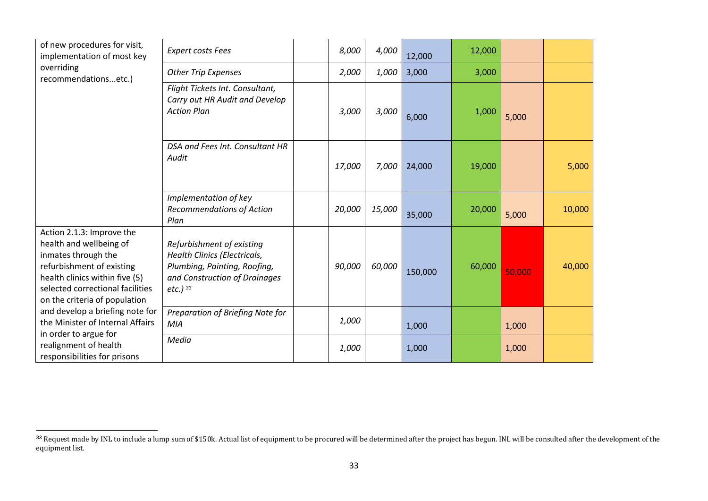| of new procedures for visit,<br>implementation of most key                                                                                                                                                      | <b>Expert costs Fees</b>                                                                                                                           | 8,000  | 4,000  | 12,000  | 12,000 |        |        |
|-----------------------------------------------------------------------------------------------------------------------------------------------------------------------------------------------------------------|----------------------------------------------------------------------------------------------------------------------------------------------------|--------|--------|---------|--------|--------|--------|
| overriding<br>recommendationsetc.)                                                                                                                                                                              | <b>Other Trip Expenses</b>                                                                                                                         | 2,000  | 1,000  | 3,000   | 3,000  |        |        |
|                                                                                                                                                                                                                 | Flight Tickets Int. Consultant,<br>Carry out HR Audit and Develop<br><b>Action Plan</b>                                                            | 3,000  | 3,000  | 6,000   | 1,000  | 5,000  |        |
|                                                                                                                                                                                                                 | DSA and Fees Int. Consultant HR<br>Audit                                                                                                           | 17,000 | 7,000  | 24,000  | 19,000 |        | 5,000  |
|                                                                                                                                                                                                                 | Implementation of key<br><b>Recommendations of Action</b><br>Plan                                                                                  | 20,000 | 15,000 | 35,000  | 20,000 | 5,000  | 10,000 |
| Action 2.1.3: Improve the<br>health and wellbeing of<br>inmates through the<br>refurbishment of existing<br>health clinics within five (5)<br>selected correctional facilities<br>on the criteria of population | Refurbishment of existing<br><b>Health Clinics (Electricals,</b><br>Plumbing, Painting, Roofing,<br>and Construction of Drainages<br>$etc.$ ) $33$ | 90,000 | 60,000 | 150,000 | 60,000 | 50,000 | 40,000 |
| and develop a briefing note for<br>the Minister of Internal Affairs                                                                                                                                             | Preparation of Briefing Note for<br><b>MIA</b>                                                                                                     | 1,000  |        | 1,000   |        | 1,000  |        |
| in order to argue for<br>realignment of health<br>responsibilities for prisons                                                                                                                                  | Media                                                                                                                                              | 1,000  |        | 1,000   |        | 1,000  |        |

 $33$  Request made by INL to include a lump sum of \$150k. Actual list of equipment to be procured will be determined after the project has begun. INL will be consulted after the development of the equipment list.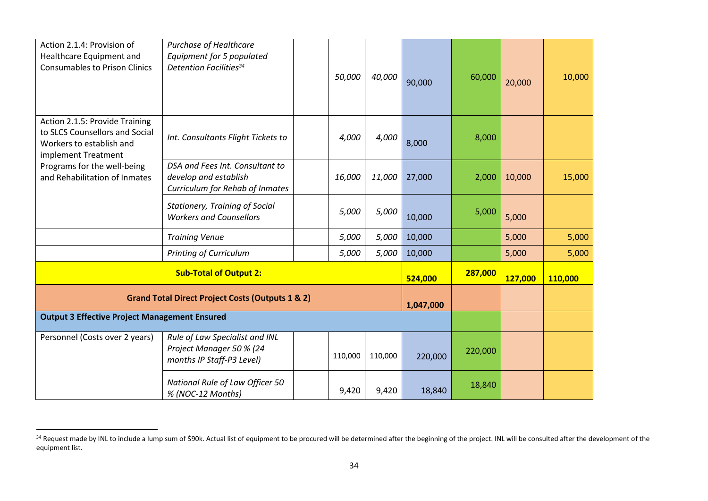| Action 2.1.4: Provision of<br>Healthcare Equipment and<br><b>Consumables to Prison Clinics</b>                      | <b>Purchase of Healthcare</b><br>Equipment for 5 populated<br><b>Detention Facilities</b> <sup>34</sup> | 50,000    | 40,000  | 90,000  | 60,000  | 20,000 | 10,000 |
|---------------------------------------------------------------------------------------------------------------------|---------------------------------------------------------------------------------------------------------|-----------|---------|---------|---------|--------|--------|
| Action 2.1.5: Provide Training<br>to SLCS Counsellors and Social<br>Workers to establish and<br>implement Treatment | Int. Consultants Flight Tickets to                                                                      | 4,000     | 4,000   | 8,000   | 8,000   |        |        |
| Programs for the well-being<br>and Rehabilitation of Inmates                                                        | DSA and Fees Int. Consultant to<br>develop and establish<br><b>Curriculum for Rehab of Inmates</b>      | 16,000    | 11,000  | 27,000  | 2,000   | 10,000 | 15,000 |
|                                                                                                                     | <b>Stationery, Training of Social</b><br><b>Workers and Counsellors</b>                                 | 5,000     | 5,000   | 10,000  | 5,000   | 5,000  |        |
|                                                                                                                     | <b>Training Venue</b>                                                                                   | 5,000     | 5,000   | 10,000  |         | 5,000  | 5,000  |
|                                                                                                                     | <b>Printing of Curriculum</b>                                                                           | 5,000     | 5,000   | 10,000  |         | 5,000  | 5,000  |
|                                                                                                                     | 524,000                                                                                                 | 287,000   | 127,000 | 110,000 |         |        |        |
|                                                                                                                     | <b>Grand Total Direct Project Costs (Outputs 1 &amp; 2)</b>                                             | 1,047,000 |         |         |         |        |        |
| <b>Output 3 Effective Project Management Ensured</b>                                                                |                                                                                                         |           |         |         |         |        |        |
| Personnel (Costs over 2 years)                                                                                      | Rule of Law Specialist and INL<br>Project Manager 50 % (24<br>months IP Staff-P3 Level)                 | 110,000   | 110,000 | 220,000 | 220,000 |        |        |
|                                                                                                                     | National Rule of Law Officer 50<br>% (NOC-12 Months)                                                    | 9,420     | 9,420   | 18,840  | 18,840  |        |        |

<sup>&</sup>lt;sup>34</sup> Request made by INL to include a lump sum of \$90k. Actual list of equipment to be procured will be determined after the beginning of the project. INL will be consulted after the development of the equipment list.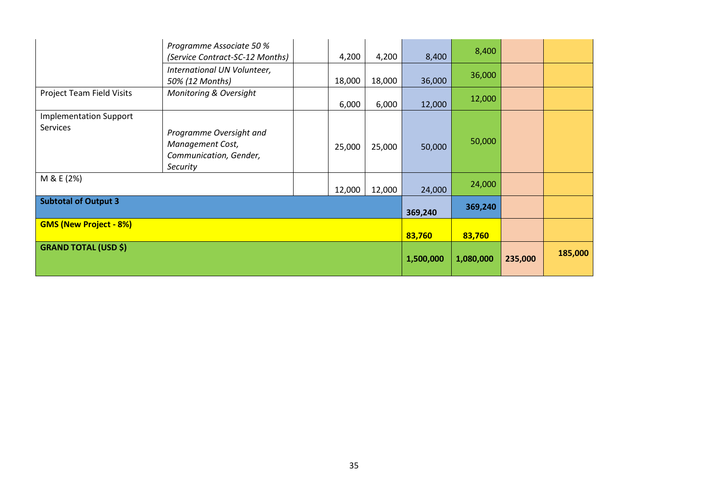|                                           | Programme Associate 50 %<br>(Service Contract-SC-12 Months)                       | 4,200     | 4,200   | 8,400   | 8,400  |  |  |
|-------------------------------------------|-----------------------------------------------------------------------------------|-----------|---------|---------|--------|--|--|
|                                           | International UN Volunteer,<br>50% (12 Months)                                    | 18,000    | 18,000  | 36,000  | 36,000 |  |  |
| Project Team Field Visits                 | Monitoring & Oversight                                                            | 6,000     | 6,000   | 12,000  | 12,000 |  |  |
| <b>Implementation Support</b><br>Services | Programme Oversight and<br>Management Cost,<br>Communication, Gender,<br>Security | 25,000    | 25,000  | 50,000  | 50,000 |  |  |
| M & E (2%)                                |                                                                                   | 12,000    | 12,000  | 24,000  | 24,000 |  |  |
| <b>Subtotal of Output 3</b>               |                                                                                   | 369,240   | 369,240 |         |        |  |  |
| <b>GMS (New Project - 8%)</b>             |                                                                                   | 83,760    | 83,760  |         |        |  |  |
| <b>GRAND TOTAL (USD \$)</b>               | 1,500,000                                                                         | 1,080,000 | 235,000 | 185,000 |        |  |  |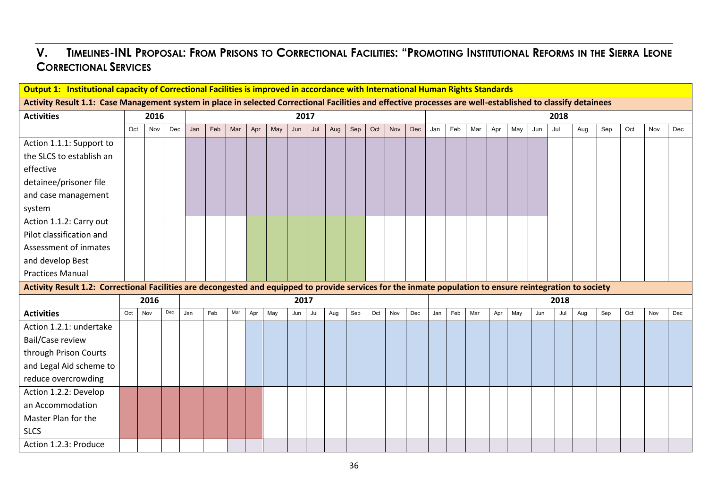# V. TIMELINES-INL PROPOSAL: FROM PRISONS TO CORRECTIONAL FACILITIES: "PROMOTING INSTITUTIONAL REFORMS IN THE SIERRA LEONE **CORRECTIONAL SERVICES**

| Output 1: Institutional capacity of Correctional Facilities is improved in accordance with International Human Rights Standards<br>Activity Result 1.1: Case Management system in place in selected Correctional Facilities and effective processes are well-established to classify detainees |     |      |     |     |     |     |     |     |      |     |     |     |     |     |     |                                                                                                                                                            |     |     |     |     |     |      |     |     |     |     |     |
|------------------------------------------------------------------------------------------------------------------------------------------------------------------------------------------------------------------------------------------------------------------------------------------------|-----|------|-----|-----|-----|-----|-----|-----|------|-----|-----|-----|-----|-----|-----|------------------------------------------------------------------------------------------------------------------------------------------------------------|-----|-----|-----|-----|-----|------|-----|-----|-----|-----|-----|
|                                                                                                                                                                                                                                                                                                |     |      |     |     |     |     |     |     |      |     |     |     |     |     |     |                                                                                                                                                            |     |     |     |     |     |      |     |     |     |     |     |
| <b>Activities</b>                                                                                                                                                                                                                                                                              |     | 2016 |     |     |     |     |     |     | 2017 |     |     |     |     |     |     |                                                                                                                                                            |     |     |     |     |     | 2018 |     |     |     |     |     |
|                                                                                                                                                                                                                                                                                                | Oct | Nov  | Dec | Jan | Feb | Mar | Apr | May | Jun  | Jul | Aug | Sep | Oct | Nov | Dec | Jan                                                                                                                                                        | Feb | Mar | Apr | May | Jun | Jul  | Aug | Sep | Oct | Nov | Dec |
| Action 1.1.1: Support to                                                                                                                                                                                                                                                                       |     |      |     |     |     |     |     |     |      |     |     |     |     |     |     |                                                                                                                                                            |     |     |     |     |     |      |     |     |     |     |     |
| the SLCS to establish an                                                                                                                                                                                                                                                                       |     |      |     |     |     |     |     |     |      |     |     |     |     |     |     |                                                                                                                                                            |     |     |     |     |     |      |     |     |     |     |     |
| effective                                                                                                                                                                                                                                                                                      |     |      |     |     |     |     |     |     |      |     |     |     |     |     |     |                                                                                                                                                            |     |     |     |     |     |      |     |     |     |     |     |
| detainee/prisoner file                                                                                                                                                                                                                                                                         |     |      |     |     |     |     |     |     |      |     |     |     |     |     |     |                                                                                                                                                            |     |     |     |     |     |      |     |     |     |     |     |
| and case management                                                                                                                                                                                                                                                                            |     |      |     |     |     |     |     |     |      |     |     |     |     |     |     |                                                                                                                                                            |     |     |     |     |     |      |     |     |     |     |     |
| system                                                                                                                                                                                                                                                                                         |     |      |     |     |     |     |     |     |      |     |     |     |     |     |     |                                                                                                                                                            |     |     |     |     |     |      |     |     |     |     |     |
| Action 1.1.2: Carry out                                                                                                                                                                                                                                                                        |     |      |     |     |     |     |     |     |      |     |     |     |     |     |     |                                                                                                                                                            |     |     |     |     |     |      |     |     |     |     |     |
| Pilot classification and                                                                                                                                                                                                                                                                       |     |      |     |     |     |     |     |     |      |     |     |     |     |     |     |                                                                                                                                                            |     |     |     |     |     |      |     |     |     |     |     |
| Assessment of inmates                                                                                                                                                                                                                                                                          |     |      |     |     |     |     |     |     |      |     |     |     |     |     |     |                                                                                                                                                            |     |     |     |     |     |      |     |     |     |     |     |
| and develop Best                                                                                                                                                                                                                                                                               |     |      |     |     |     |     |     |     |      |     |     |     |     |     |     |                                                                                                                                                            |     |     |     |     |     |      |     |     |     |     |     |
| <b>Practices Manual</b>                                                                                                                                                                                                                                                                        |     |      |     |     |     |     |     |     |      |     |     |     |     |     |     |                                                                                                                                                            |     |     |     |     |     |      |     |     |     |     |     |
|                                                                                                                                                                                                                                                                                                |     |      |     |     |     |     |     |     |      |     |     |     |     |     |     | Activity Result 1.2: Correctional Facilities are decongested and equipped to provide services for the inmate population to ensure reintegration to society |     |     |     |     |     |      |     |     |     |     |     |
|                                                                                                                                                                                                                                                                                                |     | 2016 |     |     |     |     |     |     | 2017 |     |     |     |     |     |     | 2018                                                                                                                                                       |     |     |     |     |     |      |     |     |     |     |     |
| <b>Activities</b>                                                                                                                                                                                                                                                                              | Oct | Nov  | Dec | Jan | Feb | Mar | Apr | May | Jun  | Jul | Aug | Sep | Oct | Nov | Dec | Jan                                                                                                                                                        | Feb | Mar | Apr | May | Jun | Jul  | Aug | Sep | Oct | Nov | Dec |
| Action 1.2.1: undertake                                                                                                                                                                                                                                                                        |     |      |     |     |     |     |     |     |      |     |     |     |     |     |     |                                                                                                                                                            |     |     |     |     |     |      |     |     |     |     |     |
| Bail/Case review                                                                                                                                                                                                                                                                               |     |      |     |     |     |     |     |     |      |     |     |     |     |     |     |                                                                                                                                                            |     |     |     |     |     |      |     |     |     |     |     |
| through Prison Courts                                                                                                                                                                                                                                                                          |     |      |     |     |     |     |     |     |      |     |     |     |     |     |     |                                                                                                                                                            |     |     |     |     |     |      |     |     |     |     |     |
| and Legal Aid scheme to                                                                                                                                                                                                                                                                        |     |      |     |     |     |     |     |     |      |     |     |     |     |     |     |                                                                                                                                                            |     |     |     |     |     |      |     |     |     |     |     |
| reduce overcrowding                                                                                                                                                                                                                                                                            |     |      |     |     |     |     |     |     |      |     |     |     |     |     |     |                                                                                                                                                            |     |     |     |     |     |      |     |     |     |     |     |
| Action 1.2.2: Develop                                                                                                                                                                                                                                                                          |     |      |     |     |     |     |     |     |      |     |     |     |     |     |     |                                                                                                                                                            |     |     |     |     |     |      |     |     |     |     |     |
| an Accommodation                                                                                                                                                                                                                                                                               |     |      |     |     |     |     |     |     |      |     |     |     |     |     |     |                                                                                                                                                            |     |     |     |     |     |      |     |     |     |     |     |
| Master Plan for the                                                                                                                                                                                                                                                                            |     |      |     |     |     |     |     |     |      |     |     |     |     |     |     |                                                                                                                                                            |     |     |     |     |     |      |     |     |     |     |     |
| <b>SLCS</b>                                                                                                                                                                                                                                                                                    |     |      |     |     |     |     |     |     |      |     |     |     |     |     |     |                                                                                                                                                            |     |     |     |     |     |      |     |     |     |     |     |
| Action 1.2.3: Produce                                                                                                                                                                                                                                                                          |     |      |     |     |     |     |     |     |      |     |     |     |     |     |     |                                                                                                                                                            |     |     |     |     |     |      |     |     |     |     |     |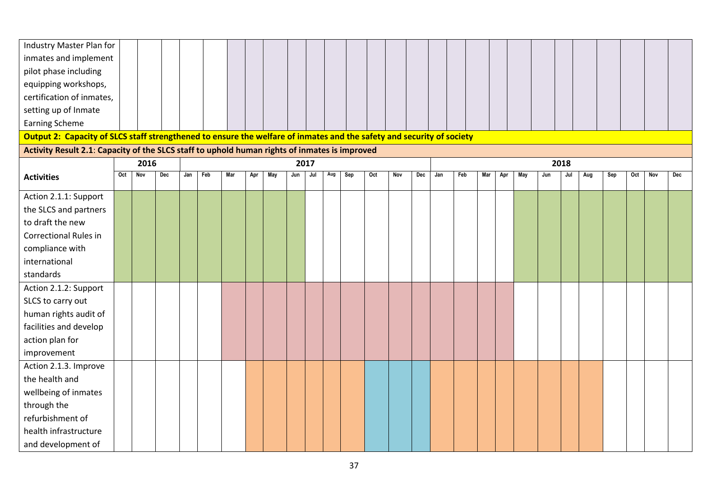| Industry Master Plan for                                                                                              |     |      |     |     |     |     |     |     |     |      |     |     |     |     |     |      |     |     |     |     |     |     |     |     |     |     |     |  |
|-----------------------------------------------------------------------------------------------------------------------|-----|------|-----|-----|-----|-----|-----|-----|-----|------|-----|-----|-----|-----|-----|------|-----|-----|-----|-----|-----|-----|-----|-----|-----|-----|-----|--|
| inmates and implement                                                                                                 |     |      |     |     |     |     |     |     |     |      |     |     |     |     |     |      |     |     |     |     |     |     |     |     |     |     |     |  |
| pilot phase including                                                                                                 |     |      |     |     |     |     |     |     |     |      |     |     |     |     |     |      |     |     |     |     |     |     |     |     |     |     |     |  |
| equipping workshops,                                                                                                  |     |      |     |     |     |     |     |     |     |      |     |     |     |     |     |      |     |     |     |     |     |     |     |     |     |     |     |  |
| certification of inmates,                                                                                             |     |      |     |     |     |     |     |     |     |      |     |     |     |     |     |      |     |     |     |     |     |     |     |     |     |     |     |  |
| setting up of Inmate                                                                                                  |     |      |     |     |     |     |     |     |     |      |     |     |     |     |     |      |     |     |     |     |     |     |     |     |     |     |     |  |
| <b>Earning Scheme</b>                                                                                                 |     |      |     |     |     |     |     |     |     |      |     |     |     |     |     |      |     |     |     |     |     |     |     |     |     |     |     |  |
| Output 2: Capacity of SLCS staff strengthened to ensure the welfare of inmates and the safety and security of society |     |      |     |     |     |     |     |     |     |      |     |     |     |     |     |      |     |     |     |     |     |     |     |     |     |     |     |  |
| Activity Result 2.1: Capacity of the SLCS staff to uphold human rights of inmates is improved                         |     |      |     |     |     |     |     |     |     |      |     |     |     |     |     |      |     |     |     |     |     |     |     |     |     |     |     |  |
|                                                                                                                       |     | 2016 |     |     |     |     |     |     |     | 2017 |     |     |     |     |     | 2018 |     |     |     |     |     |     |     |     |     |     |     |  |
| <b>Activities</b>                                                                                                     | Oct | Nov  | Dec | Jan | Feb | Mar | Apr | May | Jun | Jul  | Aug | Sep | Oct | Nov | Dec | Jan  | Feb | Mar | Apr | May | Jun | Jul | Aug | Sep | Oct | Nov | Dec |  |
| Action 2.1.1: Support                                                                                                 |     |      |     |     |     |     |     |     |     |      |     |     |     |     |     |      |     |     |     |     |     |     |     |     |     |     |     |  |
| the SLCS and partners                                                                                                 |     |      |     |     |     |     |     |     |     |      |     |     |     |     |     |      |     |     |     |     |     |     |     |     |     |     |     |  |
| to draft the new                                                                                                      |     |      |     |     |     |     |     |     |     |      |     |     |     |     |     |      |     |     |     |     |     |     |     |     |     |     |     |  |
| <b>Correctional Rules in</b>                                                                                          |     |      |     |     |     |     |     |     |     |      |     |     |     |     |     |      |     |     |     |     |     |     |     |     |     |     |     |  |
| compliance with                                                                                                       |     |      |     |     |     |     |     |     |     |      |     |     |     |     |     |      |     |     |     |     |     |     |     |     |     |     |     |  |
| international                                                                                                         |     |      |     |     |     |     |     |     |     |      |     |     |     |     |     |      |     |     |     |     |     |     |     |     |     |     |     |  |
| standards                                                                                                             |     |      |     |     |     |     |     |     |     |      |     |     |     |     |     |      |     |     |     |     |     |     |     |     |     |     |     |  |
| Action 2.1.2: Support                                                                                                 |     |      |     |     |     |     |     |     |     |      |     |     |     |     |     |      |     |     |     |     |     |     |     |     |     |     |     |  |
| SLCS to carry out                                                                                                     |     |      |     |     |     |     |     |     |     |      |     |     |     |     |     |      |     |     |     |     |     |     |     |     |     |     |     |  |
| human rights audit of                                                                                                 |     |      |     |     |     |     |     |     |     |      |     |     |     |     |     |      |     |     |     |     |     |     |     |     |     |     |     |  |
| facilities and develop                                                                                                |     |      |     |     |     |     |     |     |     |      |     |     |     |     |     |      |     |     |     |     |     |     |     |     |     |     |     |  |
| action plan for                                                                                                       |     |      |     |     |     |     |     |     |     |      |     |     |     |     |     |      |     |     |     |     |     |     |     |     |     |     |     |  |
| improvement                                                                                                           |     |      |     |     |     |     |     |     |     |      |     |     |     |     |     |      |     |     |     |     |     |     |     |     |     |     |     |  |
| Action 2.1.3. Improve                                                                                                 |     |      |     |     |     |     |     |     |     |      |     |     |     |     |     |      |     |     |     |     |     |     |     |     |     |     |     |  |
| the health and                                                                                                        |     |      |     |     |     |     |     |     |     |      |     |     |     |     |     |      |     |     |     |     |     |     |     |     |     |     |     |  |
| wellbeing of inmates                                                                                                  |     |      |     |     |     |     |     |     |     |      |     |     |     |     |     |      |     |     |     |     |     |     |     |     |     |     |     |  |
| through the                                                                                                           |     |      |     |     |     |     |     |     |     |      |     |     |     |     |     |      |     |     |     |     |     |     |     |     |     |     |     |  |
| refurbishment of                                                                                                      |     |      |     |     |     |     |     |     |     |      |     |     |     |     |     |      |     |     |     |     |     |     |     |     |     |     |     |  |
| health infrastructure                                                                                                 |     |      |     |     |     |     |     |     |     |      |     |     |     |     |     |      |     |     |     |     |     |     |     |     |     |     |     |  |
| and development of                                                                                                    |     |      |     |     |     |     |     |     |     |      |     |     |     |     |     |      |     |     |     |     |     |     |     |     |     |     |     |  |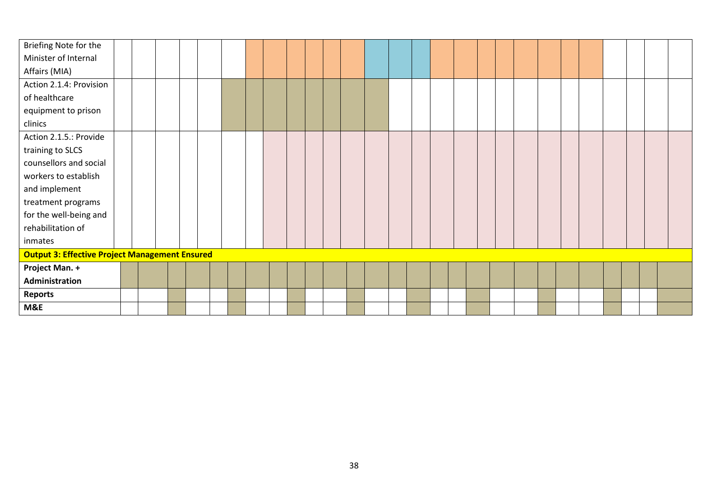| Briefing Note for the                                 |  |  |  |  |  |  |  |  |  |  |  |  |  |  |
|-------------------------------------------------------|--|--|--|--|--|--|--|--|--|--|--|--|--|--|
| Minister of Internal                                  |  |  |  |  |  |  |  |  |  |  |  |  |  |  |
| Affairs (MIA)                                         |  |  |  |  |  |  |  |  |  |  |  |  |  |  |
| Action 2.1.4: Provision                               |  |  |  |  |  |  |  |  |  |  |  |  |  |  |
| of healthcare                                         |  |  |  |  |  |  |  |  |  |  |  |  |  |  |
| equipment to prison                                   |  |  |  |  |  |  |  |  |  |  |  |  |  |  |
| clinics                                               |  |  |  |  |  |  |  |  |  |  |  |  |  |  |
| Action 2.1.5.: Provide                                |  |  |  |  |  |  |  |  |  |  |  |  |  |  |
| training to SLCS                                      |  |  |  |  |  |  |  |  |  |  |  |  |  |  |
| counsellors and social                                |  |  |  |  |  |  |  |  |  |  |  |  |  |  |
| workers to establish                                  |  |  |  |  |  |  |  |  |  |  |  |  |  |  |
| and implement                                         |  |  |  |  |  |  |  |  |  |  |  |  |  |  |
| treatment programs                                    |  |  |  |  |  |  |  |  |  |  |  |  |  |  |
| for the well-being and                                |  |  |  |  |  |  |  |  |  |  |  |  |  |  |
| rehabilitation of                                     |  |  |  |  |  |  |  |  |  |  |  |  |  |  |
| inmates                                               |  |  |  |  |  |  |  |  |  |  |  |  |  |  |
| <b>Output 3: Effective Project Management Ensured</b> |  |  |  |  |  |  |  |  |  |  |  |  |  |  |
| Project Man. +                                        |  |  |  |  |  |  |  |  |  |  |  |  |  |  |
| Administration                                        |  |  |  |  |  |  |  |  |  |  |  |  |  |  |
| <b>Reports</b>                                        |  |  |  |  |  |  |  |  |  |  |  |  |  |  |
| M&E                                                   |  |  |  |  |  |  |  |  |  |  |  |  |  |  |